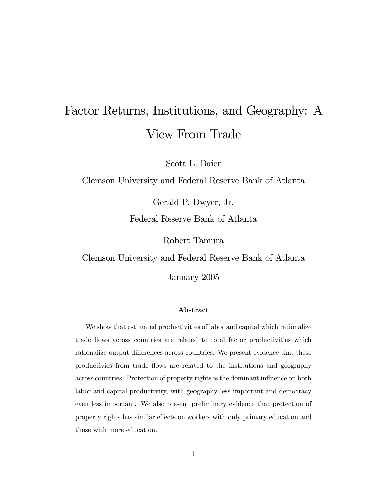# Factor Returns, Institutions, and Geography: A View From Trade

Scott L. Baier

Clemson University and Federal Reserve Bank of Atlanta

Gerald P. Dwyer, Jr.

Federal Reserve Bank of Atlanta

Robert Tamura

Clemson University and Federal Reserve Bank of Atlanta

January 2005

# Abstract

We show that estimated productivities of labor and capital which rationalize trade flows across countries are related to total factor productivities which rationalize output differences across countries. We present evidence that these productivies from trade flows are related to the institutions and geography across countries. Protection of property rights is the dominant influence on both labor and capital productivity, with geography less important and democracy even less important. We also present preliminary evidence that protection of property rights has similar effects on workers with only primary education and those with more education.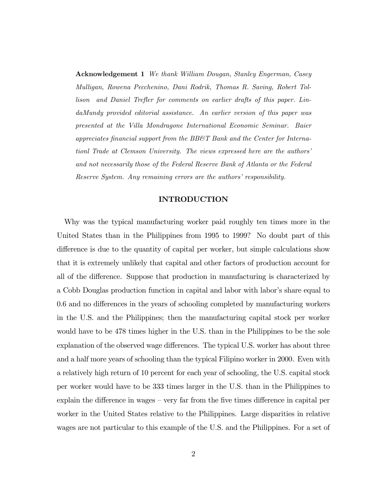Acknowledgement 1 We thank William Dougan, Stanley Engerman, Casey Mulligan, Rowena Pecchenino, Dani Rodrik, Thomas R. Saving, Robert Tollison and Daniel Trefler for comments on earlier drafts of this paper. LindaMundy provided editorial assistance. An earlier version of this paper was presented at the Villa Mondragone International Economic Seminar. Baier appreciates financial support from the BB&T Bank and the Center for Internationl Trade at Clemson University. The views expressed here are the authors' and not necessarily those of the Federal Reserve Bank of Atlanta or the Federal Reserve System. Any remaining errors are the authors' responsibility.

# INTRODUCTION

Why was the typical manufacturing worker paid roughly ten times more in the United States than in the Philippines from 1995 to 1999? No doubt part of this difference is due to the quantity of capital per worker, but simple calculations show that it is extremely unlikely that capital and other factors of production account for all of the difference. Suppose that production in manufacturing is characterized by a Cobb Douglas production function in capital and labor with labor's share equal to 0.6 and no differences in the years of schooling completed by manufacturing workers in the U.S. and the Philippines; then the manufacturing capital stock per worker would have to be 478 times higher in the U.S. than in the Philippines to be the sole explanation of the observed wage differences. The typical U.S. worker has about three and a half more years of schooling than the typical Filipino worker in 2000. Even with a relatively high return of 10 percent for each year of schooling, the U.S. capital stock per worker would have to be 333 times larger in the U.S. than in the Philippines to explain the difference in wages — very far from the five times difference in capital per worker in the United States relative to the Philippines. Large disparities in relative wages are not particular to this example of the U.S. and the Philippines. For a set of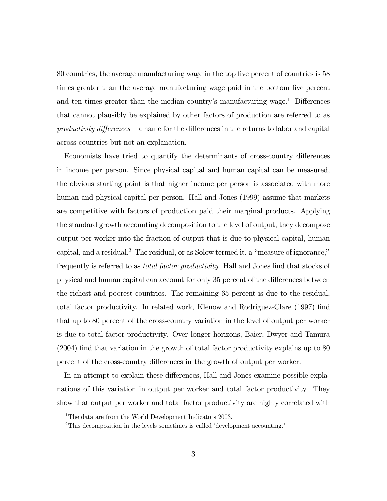80 countries, the average manufacturing wage in the top five percent of countries is 58 times greater than the average manufacturing wage paid in the bottom five percent and ten times greater than the median country's manufacturing wage.<sup>1</sup> Differences that cannot plausibly be explained by other factors of production are referred to as productivity differences — a name for the differences in the returns to labor and capital across countries but not an explanation.

Economists have tried to quantify the determinants of cross-country differences in income per person. Since physical capital and human capital can be measured, the obvious starting point is that higher income per person is associated with more human and physical capital per person. Hall and Jones (1999) assume that markets are competitive with factors of production paid their marginal products. Applying the standard growth accounting decomposition to the level of output, they decompose output per worker into the fraction of output that is due to physical capital, human capital, and a residual.<sup>2</sup> The residual, or as Solow termed it, a "measure of ignorance," frequently is referred to as total factor productivity. Hall and Jones find that stocks of physical and human capital can account for only 35 percent of the differences between the richest and poorest countries. The remaining 65 percent is due to the residual, total factor productivity. In related work, Klenow and Rodriguez-Clare (1997) find that up to 80 percent of the cross-country variation in the level of output per worker is due to total factor productivity. Over longer horizons, Baier, Dwyer and Tamura (2004) find that variation in the growth of total factor productivity explains up to 80 percent of the cross-country differences in the growth of output per worker.

In an attempt to explain these differences, Hall and Jones examine possible explanations of this variation in output per worker and total factor productivity. They show that output per worker and total factor productivity are highly correlated with

<sup>&</sup>lt;sup>1</sup>The data are from the World Development Indicators 2003.

<sup>&</sup>lt;sup>2</sup>This decomposition in the levels sometimes is called 'development accounting.'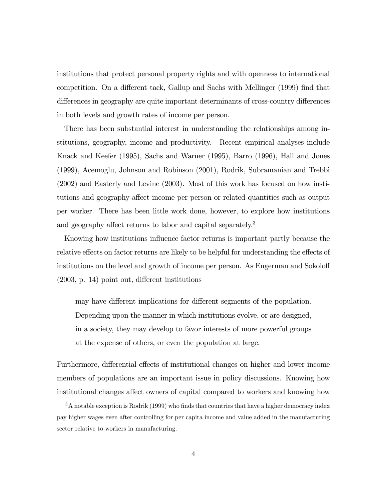institutions that protect personal property rights and with openness to international competition. On a different tack, Gallup and Sachs with Mellinger (1999) find that differences in geography are quite important determinants of cross-country differences in both levels and growth rates of income per person.

There has been substantial interest in understanding the relationships among institutions, geography, income and productivity. Recent empirical analyses include Knack and Keefer (1995), Sachs and Warner (1995), Barro (1996), Hall and Jones (1999), Acemoglu, Johnson and Robinson (2001), Rodrik, Subramanian and Trebbi (2002) and Easterly and Levine (2003). Most of this work has focused on how institutions and geography affect income per person or related quantities such as output per worker. There has been little work done, however, to explore how institutions and geography affect returns to labor and capital separately.<sup>3</sup>

Knowing how institutions influence factor returns is important partly because the relative effects on factor returns are likely to be helpful for understanding the effects of institutions on the level and growth of income per person. As Engerman and Sokoloff (2003, p. 14) point out, different institutions

may have different implications for different segments of the population. Depending upon the manner in which institutions evolve, or are designed, in a society, they may develop to favor interests of more powerful groups at the expense of others, or even the population at large.

Furthermore, differential effects of institutional changes on higher and lower income members of populations are an important issue in policy discussions. Knowing how institutional changes affect owners of capital compared to workers and knowing how

<sup>&</sup>lt;sup>3</sup>A notable exception is Rodrik (1999) who finds that countries that have a higher democracy index pay higher wages even after controlling for per capita income and value added in the manufacturing sector relative to workers in manufacturing.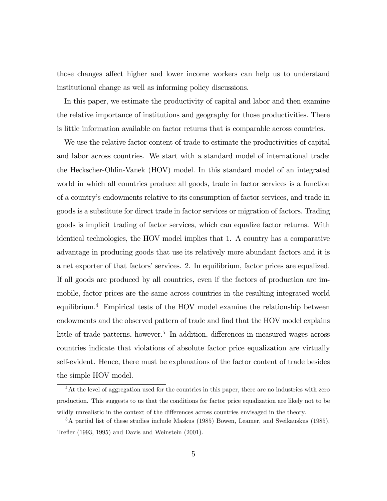those changes affect higher and lower income workers can help us to understand institutional change as well as informing policy discussions.

In this paper, we estimate the productivity of capital and labor and then examine the relative importance of institutions and geography for those productivities. There is little information available on factor returns that is comparable across countries.

We use the relative factor content of trade to estimate the productivities of capital and labor across countries. We start with a standard model of international trade: the Heckscher-Ohlin-Vanek (HOV) model. In this standard model of an integrated world in which all countries produce all goods, trade in factor services is a function of a country's endowments relative to its consumption of factor services, and trade in goods is a substitute for direct trade in factor services or migration of factors. Trading goods is implicit trading of factor services, which can equalize factor returns. With identical technologies, the HOV model implies that 1. A country has a comparative advantage in producing goods that use its relatively more abundant factors and it is a net exporter of that factors' services. 2. In equilibrium, factor prices are equalized. If all goods are produced by all countries, even if the factors of production are immobile, factor prices are the same across countries in the resulting integrated world equilibrium.4 Empirical tests of the HOV model examine the relationship between endowments and the observed pattern of trade and find that the HOV model explains little of trade patterns, however.<sup>5</sup> In addition, differences in measured wages across countries indicate that violations of absolute factor price equalization are virtually self-evident. Hence, there must be explanations of the factor content of trade besides the simple HOV model.

<sup>&</sup>lt;sup>4</sup>At the level of aggregation used for the countries in this paper, there are no industries with zero production. This suggests to us that the conditions for factor price equalization are likely not to be wildly unrealistic in the context of the differences across countries envisaged in the theory.

<sup>5</sup>A partial list of these studies include Maskus (1985) Bowen, Leamer, and Sveikauskus (1985), Trefler (1993, 1995) and Davis and Weinstein (2001).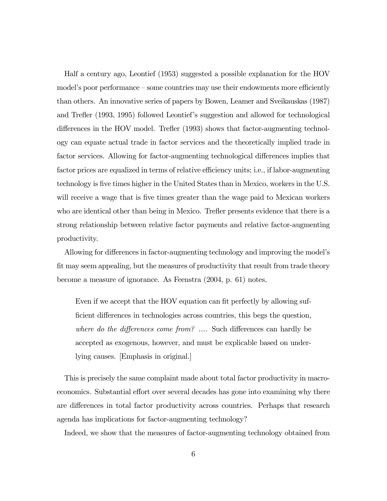Half a century ago, Leontief (1953) suggested a possible explanation for the HOV model's poor performance — some countries may use their endowments more efficiently than others. An innovative series of papers by Bowen, Leamer and Sveikauskas (1987) and Trefler (1993, 1995) followed Leontief's suggestion and allowed for technological differences in the HOV model. Trefler (1993) shows that factor-augmenting technology can equate actual trade in factor services and the theoretically implied trade in factor services. Allowing for factor-augmenting technological differences implies that factor prices are equalized in terms of relative efficiency units; i.e., if labor-augmenting technology is five times higher in the United States than in Mexico, workers in the U.S. will receive a wage that is five times greater than the wage paid to Mexican workers who are identical other than being in Mexico. Trefler presents evidence that there is a strong relationship between relative factor payments and relative factor-augmenting productivity.

Allowing for differences in factor-augmenting technology and improving the model's fit may seem appealing, but the measures of productivity that result from trade theory become a measure of ignorance. As Feenstra (2004, p. 61) notes,

Even if we accept that the HOV equation can fit perfectly by allowing sufficient differences in technologies across countries, this begs the question, where do the differences come from? .... Such differences can hardly be accepted as exogenous, however, and must be explicable based on underlying causes. [Emphasis in original.]

This is precisely the same complaint made about total factor productivity in macroeconomics. Substantial effort over several decades has gone into examining why there are differences in total factor productivity across countries. Perhaps that research agenda has implications for factor-augmenting technology?

Indeed, we show that the measures of factor-augmenting technology obtained from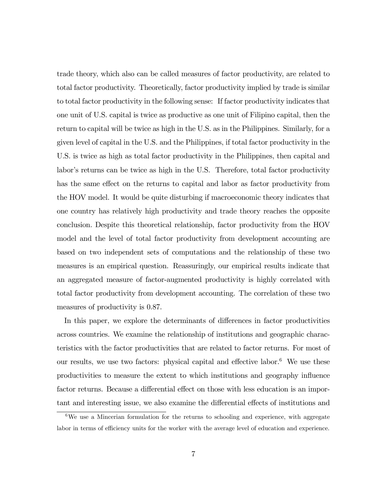trade theory, which also can be called measures of factor productivity, are related to total factor productivity. Theoretically, factor productivity implied by trade is similar to total factor productivity in the following sense: If factor productivity indicates that one unit of U.S. capital is twice as productive as one unit of Filipino capital, then the return to capital will be twice as high in the U.S. as in the Philippines. Similarly, for a given level of capital in the U.S. and the Philippines, if total factor productivity in the U.S. is twice as high as total factor productivity in the Philippines, then capital and labor's returns can be twice as high in the U.S. Therefore, total factor productivity has the same effect on the returns to capital and labor as factor productivity from the HOV model. It would be quite disturbing if macroeconomic theory indicates that one country has relatively high productivity and trade theory reaches the opposite conclusion. Despite this theoretical relationship, factor productivity from the HOV model and the level of total factor productivity from development accounting are based on two independent sets of computations and the relationship of these two measures is an empirical question. Reassuringly, our empirical results indicate that an aggregated measure of factor-augmented productivity is highly correlated with total factor productivity from development accounting. The correlation of these two measures of productivity is 0.87.

In this paper, we explore the determinants of differences in factor productivities across countries. We examine the relationship of institutions and geographic characteristics with the factor productivities that are related to factor returns. For most of our results, we use two factors: physical capital and effective labor. $6$  We use these productivities to measure the extent to which institutions and geography influence factor returns. Because a differential effect on those with less education is an important and interesting issue, we also examine the differential effects of institutions and

 $6$ We use a Mincerian formulation for the returns to schooling and experience, with aggregate labor in terms of efficiency units for the worker with the average level of education and experience.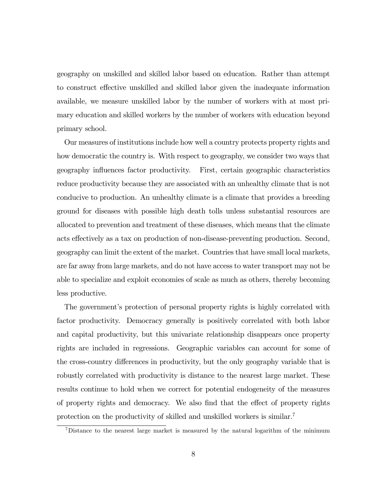geography on unskilled and skilled labor based on education. Rather than attempt to construct effective unskilled and skilled labor given the inadequate information available, we measure unskilled labor by the number of workers with at most primary education and skilled workers by the number of workers with education beyond primary school.

Our measures of institutions include how well a country protects property rights and how democratic the country is. With respect to geography, we consider two ways that geography influences factor productivity. First, certain geographic characteristics reduce productivity because they are associated with an unhealthy climate that is not conducive to production. An unhealthy climate is a climate that provides a breeding ground for diseases with possible high death tolls unless substantial resources are allocated to prevention and treatment of these diseases, which means that the climate acts effectively as a tax on production of non-disease-preventing production. Second, geography can limit the extent of the market. Countries that have small local markets, are far away from large markets, and do not have access to water transport may not be able to specialize and exploit economies of scale as much as others, thereby becoming less productive.

The government's protection of personal property rights is highly correlated with factor productivity. Democracy generally is positively correlated with both labor and capital productivity, but this univariate relationship disappears once property rights are included in regressions. Geographic variables can account for some of the cross-country differences in productivity, but the only geography variable that is robustly correlated with productivity is distance to the nearest large market. These results continue to hold when we correct for potential endogeneity of the measures of property rights and democracy. We also find that the effect of property rights protection on the productivity of skilled and unskilled workers is similar.7

<sup>&</sup>lt;sup>7</sup>Distance to the nearest large market is measured by the natural logarithm of the minimum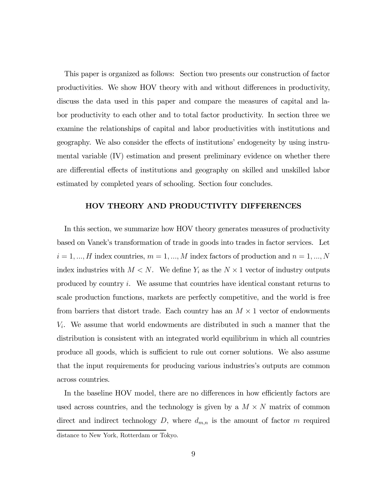This paper is organized as follows: Section two presents our construction of factor productivities. We show HOV theory with and without differences in productivity, discuss the data used in this paper and compare the measures of capital and labor productivity to each other and to total factor productivity. In section three we examine the relationships of capital and labor productivities with institutions and geography. We also consider the effects of institutions' endogeneity by using instrumental variable (IV) estimation and present preliminary evidence on whether there are differential effects of institutions and geography on skilled and unskilled labor estimated by completed years of schooling. Section four concludes.

#### HOV THEORY AND PRODUCTIVITY DIFFERENCES

In this section, we summarize how HOV theory generates measures of productivity based on Vanek's transformation of trade in goods into trades in factor services. Let  $i=1,...,H$  index countries,  $m=1,...,M$  index factors of production and  $n=1,...,N$ index industries with  $M < N$ . We define  $Y_i$  as the  $N \times 1$  vector of industry outputs produced by country i. We assume that countries have identical constant returns to scale production functions, markets are perfectly competitive, and the world is free from barriers that distort trade. Each country has an  $M \times 1$  vector of endowments  $V_i$ . We assume that world endowments are distributed in such a manner that the distribution is consistent with an integrated world equilibrium in which all countries produce all goods, which is sufficient to rule out corner solutions. We also assume that the input requirements for producing various industries's outputs are common across countries.

In the baseline HOV model, there are no differences in how efficiently factors are used across countries, and the technology is given by a  $M \times N$  matrix of common direct and indirect technology  $D$ , where  $d_{m,n}$  is the amount of factor m required distance to New York, Rotterdam or Tokyo.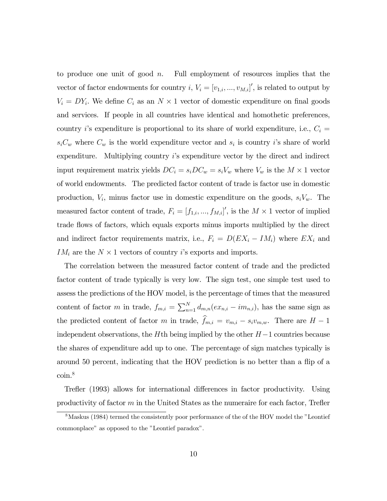to produce one unit of good  $n$ . Full employment of resources implies that the vector of factor endowments for country  $i, V_i = [v_{1,i}, ..., v_{M,i}]'$ , is related to output by  $V_i = DY_i$ . We define  $C_i$  as an  $N \times 1$  vector of domestic expenditure on final goods and services. If people in all countries have identical and homothetic preferences, country *i*'s expenditure is proportional to its share of world expenditure, i.e.,  $C_i$  =  $s_iC_w$  where  $C_w$  is the world expenditure vector and  $s_i$  is country i's share of world expenditure. Multiplying country i's expenditure vector by the direct and indirect input requirement matrix yields  $DC_i = s_iDC_w = s_iV_w$  where  $V_w$  is the  $M \times 1$  vector of world endowments. The predicted factor content of trade is factor use in domestic production,  $V_i$ , minus factor use in domestic expenditure on the goods,  $s_iV_w$ . The measured factor content of trade,  $F_i = [f_{1,i},...,f_{M,i}]'$ , is the  $M \times 1$  vector of implied trade flows of factors, which equals exports minus imports multiplied by the direct and indirect factor requirements matrix, i.e.,  $F_i = D(EX_i - IM_i)$  where  $EX_i$  and  $IM_i$  are the  $N \times 1$  vectors of country *i*'s exports and imports.

The correlation between the measured factor content of trade and the predicted factor content of trade typically is very low. The sign test, one simple test used to assess the predictions of the HOV model, is the percentage of times that the measured content of factor m in trade,  $f_{m,i} = \sum_{n=1}^{N} d_{m,n}(ex_{n,i} - im_{n,i}),$  has the same sign as the predicted content of factor m in trade,  $f_{m,i} = v_{m,i} - s_i v_{m,w}$ . There are  $H - 1$ independent observations, the Hth being implied by the other  $H-1$  countries because the shares of expenditure add up to one. The percentage of sign matches typically is around 50 percent, indicating that the HOV prediction is no better than a flip of a coin.8

Trefler (1993) allows for international differences in factor productivity. Using productivity of factor  $m$  in the United States as the numeraire for each factor, Trefler

<sup>&</sup>lt;sup>8</sup>Maskus (1984) termed the consistently poor performance of the of the HOV model the "Leontief" commonplace" as opposed to the "Leontief paradox".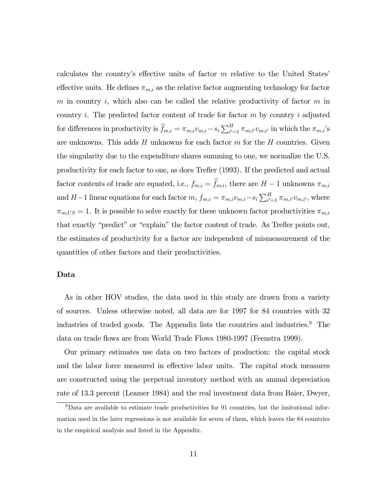calculates the country's effective units of factor  $m$  relative to the United States' effective units. He defines  $\pi_{m,i}$  as the relative factor augmenting technology for factor m in country i, which also can be called the relative productivity of factor  $m$  in country i. The predicted factor content of trade for factor  $m$  by country i adjusted for differences in productivity is  $\widehat{f}_{m,i} = \pi_{m,i} v_{m,i} - s_i \sum_{i'=1}^H \pi_{m,i'} v_{m,i'}$  in which the  $\pi_{m,i}$ 's are unknowns. This adds  $H$  unknowns for each factor  $m$  for the  $H$  countries. Given the singularity due to the expenditure shares summing to one, we normalize the U.S. productivity for each factor to one, as does Trefler (1993). If the predicted and actual factor contents of trade are equated, i.e.,  $f_{m,i} = f_{m,i}$ , there are  $H - 1$  unknowns  $\pi_{m,i}$ and  $H-1$  linear equations for each factor  $m, f_{m,i} = \pi_{m,i}v_{m,i} - s_i \sum_{i'=1}^{H} \pi_{m,i'}v_{m,i'}$ , where  $\pi_{m,US} = 1$ . It is possible to solve exactly for these unknown factor productivities  $\pi_{m,i}$ that exactly "predict" or "explain" the factor content of trade. As Trefler points out, the estimates of productivity for a factor are independent of mismeasurement of the quantities of other factors and their productivities.

### Data

As in other HOV studies, the data used in this study are drawn from a variety of sources. Unless otherwise noted, all data are for 1997 for 84 countries with 32 industries of traded goods. The Appendix lists the countries and industries.<sup>9</sup> The data on trade flows are from World Trade Flows 1980-1997 (Feenstra 1999).

Our primary estimates use data on two factors of production: the capital stock and the labor force measured in effective labor units. The capital stock measures are constructed using the perpetual inventory method with an annual depreciation rate of 13.3 percent (Leamer 1984) and the real investment data from Baier, Dwyer,

 $9$ Data are available to estimate trade productivities for 91 countries, but the insitutional information used in the later regressions is not available for seven of them, which leaves the 84 countries in the empirical analysis and listed in the Appendix.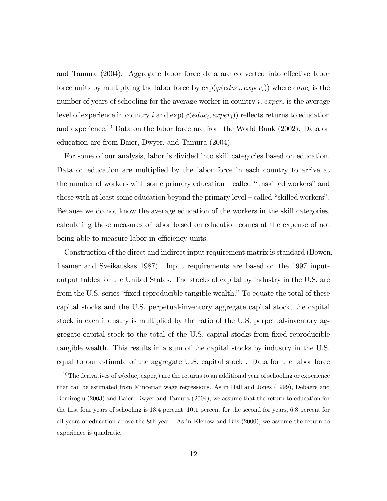and Tamura (2004). Aggregate labor force data are converted into effective labor force units by multiplying the labor force by  $\exp(\varphi(educ_i, exper_i))$  where  $educ_i$  is the number of years of schooling for the average worker in country i,  $exper_i$  is the average level of experience in country i and  $exp(\varphi(educ_i, expert_i))$  reflects returns to education and experience.10 Data on the labor force are from the World Bank (2002). Data on education are from Baier, Dwyer, and Tamura (2004).

For some of our analysis, labor is divided into skill categories based on education. Data on education are multiplied by the labor force in each country to arrive at the number of workers with some primary education — called "unskilled workers" and those with at least some education beyond the primary level — called "skilled workers". Because we do not know the average education of the workers in the skill categories, calculating these measures of labor based on education comes at the expense of not being able to measure labor in efficiency units.

Construction of the direct and indirect input requirement matrix is standard (Bowen, Leamer and Sveikauskas 1987). Input requirements are based on the 1997 inputoutput tables for the United States. The stocks of capital by industry in the U.S. are from the U.S. series "fixed reproducible tangible wealth." To equate the total of these capital stocks and the U.S. perpetual-inventory aggregate capital stock, the capital stock in each industry is multiplied by the ratio of the U.S. perpetual-inventory aggregate capital stock to the total of the U.S. capital stocks from fixed reproducible tangible wealth. This results in a sum of the capital stocks by industry in the U.S. equal to our estimate of the aggregate U.S. capital stock . Data for the labor force

<sup>&</sup>lt;sup>10</sup>The derivatives of  $\varphi$ (educ<sub>i</sub>,exper<sub>i</sub>) are the returns to an additional year of schooling or experience that can be estimated from Mincerian wage regressions. As in Hall and Jones (1999), Debaere and Demiroglu (2003) and Baier, Dwyer and Tamura (2004), we assume that the return to education for the first four years of schooling is 13.4 percent, 10.1 percent for the second for years, 6.8 percent for all years of education above the 8th year. As in Klenow and Bils (2000), we assume the return to experience is quadratic.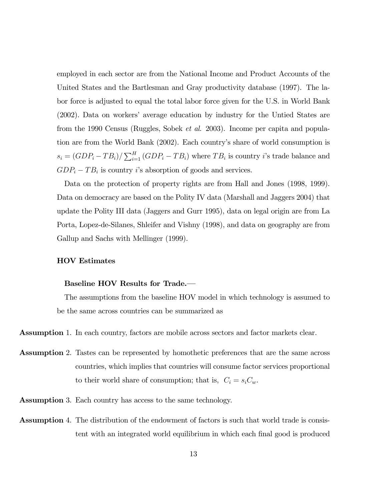employed in each sector are from the National Income and Product Accounts of the United States and the Bartlesman and Gray productivity database (1997). The labor force is adjusted to equal the total labor force given for the U.S. in World Bank (2002). Data on workers' average education by industry for the Untied States are from the 1990 Census (Ruggles, Sobek et al. 2003). Income per capita and population are from the World Bank (2002). Each country's share of world consumption is  $s_i = (GDP_i - TB_i) / \sum_{i=1}^{H} (GDP_i - TB_i)$  where  $TB_i$  is country *i*'s trade balance and  $GDP_i - TB_i$  is country *i*'s absorption of goods and services.

Data on the protection of property rights are from Hall and Jones (1998, 1999). Data on democracy are based on the Polity IV data (Marshall and Jaggers 2004) that update the Polity III data (Jaggers and Gurr 1995), data on legal origin are from La Porta, Lopez-de-Silanes, Shleifer and Vishny (1998), and data on geography are from Gallup and Sachs with Mellinger (1999).

# HOV Estimates

#### Baseline HOV Results for Trade.–

The assumptions from the baseline HOV model in which technology is assumed to be the same across countries can be summarized as

Assumption 1. In each country, factors are mobile across sectors and factor markets clear.

- Assumption 2. Tastes can be represented by homothetic preferences that are the same across countries, which implies that countries will consume factor services proportional to their world share of consumption; that is,  $C_i = s_i C_w$ .
- Assumption 3. Each country has access to the same technology.
- Assumption 4. The distribution of the endowment of factors is such that world trade is consistent with an integrated world equilibrium in which each final good is produced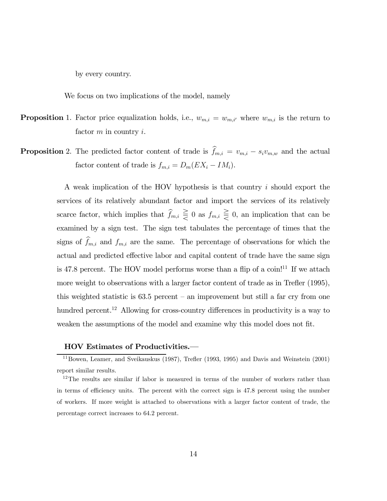by every country.

We focus on two implications of the model, namely

- **Proposition** 1. Factor price equalization holds, i.e.,  $w_{m,i} = w_{m,i'}$  where  $w_{m,i}$  is the return to factor  $m$  in country  $i$ .
- **Proposition** 2. The predicted factor content of trade is  $f_{m,i} = v_{m,i} s_i v_{m,w}$  and the actual factor content of trade is  $f_{m,i} = D_m(EX_i - IM_i)$ .

A weak implication of the HOV hypothesis is that country i should export the services of its relatively abundant factor and import the services of its relatively scarce factor, which implies that  $f_{m,i} \leq 0$  as  $f_{m,i} \leq 0$ , an implication that can be examined by a sign test. The sign test tabulates the percentage of times that the signs of  $f_{m,i}$  and  $f_{m,i}$  are the same. The percentage of observations for which the actual and predicted effective labor and capital content of trade have the same sign is 47.8 percent. The HOV model performs worse than a flip of a  $\mathrm{coin}^{11}$  If we attach more weight to observations with a larger factor content of trade as in Trefler (1995), this weighted statistic is  $63.5$  percent – an improvement but still a far cry from one hundred percent.<sup>12</sup> Allowing for cross-country differences in productivity is a way to weaken the assumptions of the model and examine why this model does not fit.

# HOV Estimates of Productivities.–

 $11$ Bowen, Leamer, and Sveikauskus (1987), Trefler (1993, 1995) and Davis and Weinstein (2001) report similar results.

<sup>12</sup>The results are similar if labor is measured in terms of the number of workers rather than in terms of efficiency units. The percent with the correct sign is 47.8 percent using the number of workers. If more weight is attached to observations with a larger factor content of trade, the percentage correct increases to 64.2 percent.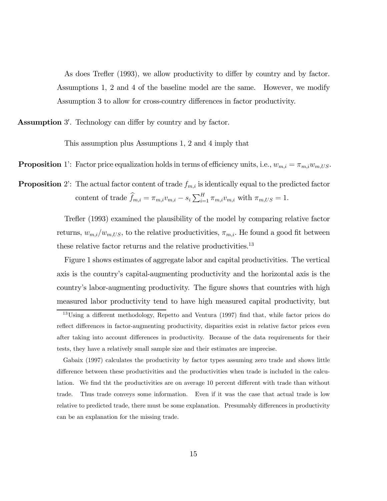As does Trefler (1993), we allow productivity to differ by country and by factor. Assumptions 1, 2 and 4 of the baseline model are the same. However, we modify Assumption 3 to allow for cross-country differences in factor productivity.

Assumption 3'. Technology can differ by country and by factor.

This assumption plus Assumptions 1, 2 and 4 imply that

**Proposition** 1': Factor price equalization holds in terms of efficiency units, i.e.,  $w_{m,i} = \pi_{m,i} w_{m,US}$ .

**Proposition** 2: The actual factor content of trade  $f_{m,i}$  is identically equal to the predicted factor content of trade  $\widehat{f}_{m,i} = \pi_{m,i} v_{m,i} - s_i \sum_{i=1}^{H} \pi_{m,i} v_{m,i}$  with  $\pi_{m,US} = 1$ .

> Trefler (1993) examined the plausibility of the model by comparing relative factor returns,  $w_{m,i}/w_{m,US}$ , to the relative productivities,  $\pi_{m,i}$ . He found a good fit between these relative factor returns and the relative productivities.<sup>13</sup>

> Figure 1 shows estimates of aggregate labor and capital productivities. The vertical axis is the country's capital-augmenting productivity and the horizontal axis is the country's labor-augmenting productivity. The figure shows that countries with high measured labor productivity tend to have high measured capital productivity, but

<sup>&</sup>lt;sup>13</sup>Using a different methodology, Repetto and Ventura (1997) find that, while factor prices do reflect differences in factor-augmenting productivity, disparities exist in relative factor prices even after taking into account differences in productivity. Because of the data requirements for their tests, they have a relatively small sample size and their estimates are imprecise.

Gabaix (1997) calculates the productivity by factor types assuming zero trade and shows little difference between these productivities and the productivities when trade is included in the calculation. We find tht the productivities are on average 10 percent different with trade than without trade. Thus trade conveys some information. Even if it was the case that actual trade is low relative to predicted trade, there must be some explanation. Presumably differences in productivity can be an explanation for the missing trade.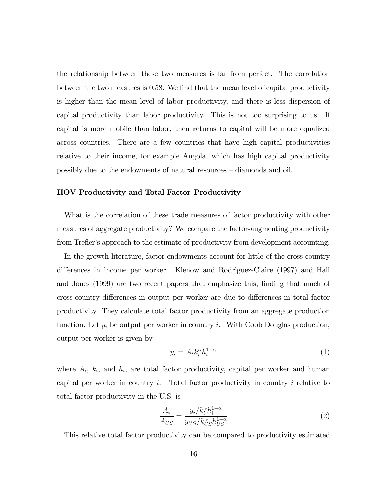the relationship between these two measures is far from perfect. The correlation between the two measures is 0.58. We find that the mean level of capital productivity is higher than the mean level of labor productivity, and there is less dispersion of capital productivity than labor productivity. This is not too surprising to us. If capital is more mobile than labor, then returns to capital will be more equalized across countries. There are a few countries that have high capital productivities relative to their income, for example Angola, which has high capital productivity possibly due to the endowments of natural resources — diamonds and oil.

# HOV Productivity and Total Factor Productivity

What is the correlation of these trade measures of factor productivity with other measures of aggregate productivity? We compare the factor-augmenting productivity from Trefler's approach to the estimate of productivity from development accounting.

In the growth literature, factor endowments account for little of the cross-country differences in income per worker. Klenow and Rodriguez-Claire (1997) and Hall and Jones (1999) are two recent papers that emphasize this, finding that much of cross-country differences in output per worker are due to differences in total factor productivity. They calculate total factor productivity from an aggregate production function. Let  $y_i$  be output per worker in country i. With Cobb Douglas production, output per worker is given by

$$
y_i = A_i k_i^{\alpha} h_i^{1-\alpha} \tag{1}
$$

where  $A_i$ ,  $k_i$ , and  $h_i$ , are total factor productivity, capital per worker and human capital per worker in country i. Total factor productivity in country i relative to total factor productivity in the U.S. is

$$
\frac{A_i}{A_{US}} = \frac{y_i / k_i^{\alpha} h_i^{1-\alpha}}{y_{US} / k_{US}^{\alpha} h_{US}^{1-\alpha}}
$$
\n(2)

This relative total factor productivity can be compared to productivity estimated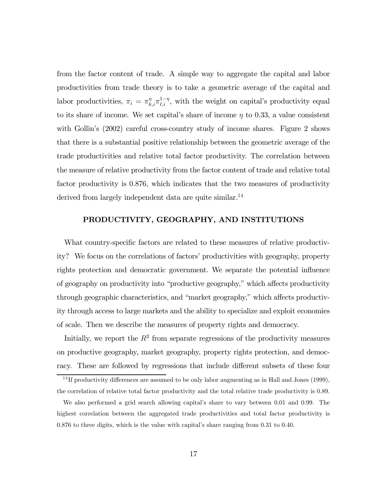from the factor content of trade. A simple way to aggregate the capital and labor productivities from trade theory is to take a geometric average of the capital and labor productivities,  $\pi_i = \pi_{k,i}^{\eta} \pi_{\ell,i}^{1-\eta}$ , with the weight on capital's productivity equal to its share of income. We set capital's share of income  $\eta$  to 0.33, a value consistent with Gollin's (2002) careful cross-country study of income shares. Figure 2 shows that there is a substantial positive relationship between the geometric average of the trade productivities and relative total factor productivity. The correlation between the measure of relative productivity from the factor content of trade and relative total factor productivity is 0.876, which indicates that the two measures of productivity derived from largely independent data are quite similar.<sup>14</sup>

# PRODUCTIVITY, GEOGRAPHY, AND INSTITUTIONS

What country-specific factors are related to these measures of relative productivity? We focus on the correlations of factors' productivities with geography, property rights protection and democratic government. We separate the potential influence of geography on productivity into "productive geography," which affects productivity through geographic characteristics, and "market geography," which affects productivity through access to large markets and the ability to specialize and exploit economies of scale. Then we describe the measures of property rights and democracy.

Initially, we report the  $R^2$  from separate regressions of the productivity measures on productive geography, market geography, property rights protection, and democracy. These are followed by regressions that include different subsets of these four

 $14$  If productivity differences are assumed to be only labor augmenting as in Hall and Jones (1999), the correlation of relative total factor productivity and the total relative trade productivity is 0.89.

We also performed a grid search allowing capital's share to vary between 0.01 and 0.99. The highest correlation between the aggregated trade productivities and total factor productivity is 0.876 to three digits, which is the value with capital's share ranging from 0.31 to 0.40.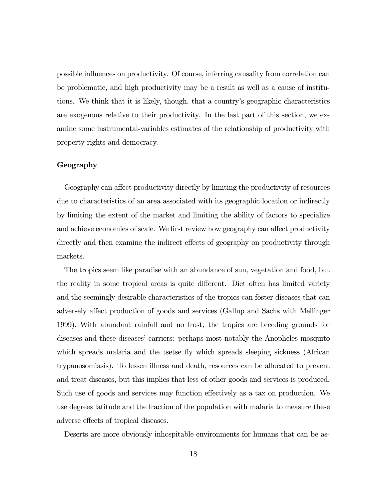possible influences on productivity. Of course, inferring causality from correlation can be problematic, and high productivity may be a result as well as a cause of institutions. We think that it is likely, though, that a country's geographic characteristics are exogenous relative to their productivity. In the last part of this section, we examine some instrumental-variables estimates of the relationship of productivity with property rights and democracy.

# Geography

Geography can affect productivity directly by limiting the productivity of resources due to characteristics of an area associated with its geographic location or indirectly by limiting the extent of the market and limiting the ability of factors to specialize and achieve economies of scale. We first review how geography can affect productivity directly and then examine the indirect effects of geography on productivity through markets.

The tropics seem like paradise with an abundance of sun, vegetation and food, but the reality in some tropical areas is quite different. Diet often has limited variety and the seemingly desirable characteristics of the tropics can foster diseases that can adversely affect production of goods and services (Gallup and Sachs with Mellinger 1999). With abundant rainfall and no frost, the tropics are breeding grounds for diseases and these diseases' carriers: perhaps most notably the Anopheles mosquito which spreads malaria and the tsetse fly which spreads sleeping sickness (African trypanosomiasis). To lessen illness and death, resources can be allocated to prevent and treat diseases, but this implies that less of other goods and services is produced. Such use of goods and services may function effectively as a tax on production. We use degrees latitude and the fraction of the population with malaria to measure these adverse effects of tropical diseases.

Deserts are more obviously inhospitable environments for humans that can be as-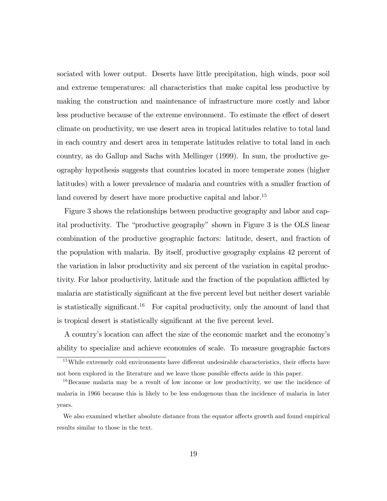sociated with lower output. Deserts have little precipitation, high winds, poor soil and extreme temperatures: all characteristics that make capital less productive by making the construction and maintenance of infrastructure more costly and labor less productive because of the extreme environment. To estimate the effect of desert climate on productivity, we use desert area in tropical latitudes relative to total land in each country and desert area in temperate latitudes relative to total land in each country, as do Gallup and Sachs with Mellinger (1999). In sum, the productive geography hypothesis suggests that countries located in more temperate zones (higher latitudes) with a lower prevalence of malaria and countries with a smaller fraction of land covered by desert have more productive capital and labor.<sup>15</sup>

Figure 3 shows the relationships between productive geography and labor and capital productivity. The "productive geography" shown in Figure 3 is the OLS linear combination of the productive geographic factors: latitude, desert, and fraction of the population with malaria. By itself, productive geography explains 42 percent of the variation in labor productivity and six percent of the variation in capital productivity. For labor productivity, latitude and the fraction of the population afflicted by malaria are statistically significant at the five percent level but neither desert variable is statistically significant.<sup>16</sup> For capital productivity, only the amount of land that is tropical desert is statistically significant at the five percent level.

A country's location can affect the size of the economic market and the economy's ability to specialize and achieve economies of scale. To measure geographic factors

<sup>&</sup>lt;sup>15</sup>While extremely cold environments have different undesirable characteristics, their effects have not been explored in the literature and we leave those possible effects aside in this paper.

<sup>&</sup>lt;sup>16</sup>Because malaria may be a result of low income or low productivity, we use the incidence of malaria in 1966 because this is likely to be less endogenous than the incidence of malaria in later years.

We also examined whether absolute distance from the equator affects growth and found empirical results similar to those in the text.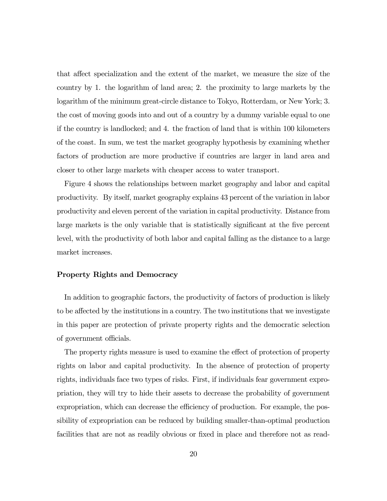that affect specialization and the extent of the market, we measure the size of the country by 1. the logarithm of land area; 2. the proximity to large markets by the logarithm of the minimum great-circle distance to Tokyo, Rotterdam, or New York; 3. the cost of moving goods into and out of a country by a dummy variable equal to one if the country is landlocked; and 4. the fraction of land that is within 100 kilometers of the coast. In sum, we test the market geography hypothesis by examining whether factors of production are more productive if countries are larger in land area and closer to other large markets with cheaper access to water transport.

Figure 4 shows the relationships between market geography and labor and capital productivity. By itself, market geography explains 43 percent of the variation in labor productivity and eleven percent of the variation in capital productivity. Distance from large markets is the only variable that is statistically significant at the five percent level, with the productivity of both labor and capital falling as the distance to a large market increases.

# Property Rights and Democracy

In addition to geographic factors, the productivity of factors of production is likely to be affected by the institutions in a country. The two institutions that we investigate in this paper are protection of private property rights and the democratic selection of government officials.

The property rights measure is used to examine the effect of protection of property rights on labor and capital productivity. In the absence of protection of property rights, individuals face two types of risks. First, if individuals fear government expropriation, they will try to hide their assets to decrease the probability of government expropriation, which can decrease the efficiency of production. For example, the possibility of expropriation can be reduced by building smaller-than-optimal production facilities that are not as readily obvious or fixed in place and therefore not as read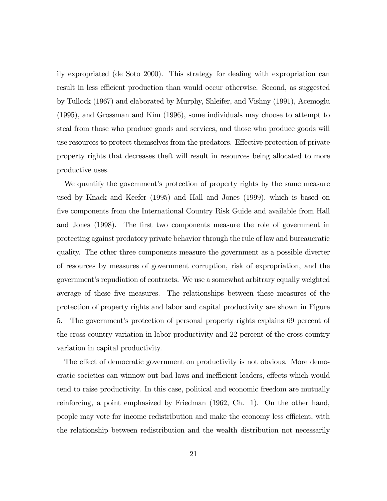ily expropriated (de Soto 2000). This strategy for dealing with expropriation can result in less efficient production than would occur otherwise. Second, as suggested by Tullock (1967) and elaborated by Murphy, Shleifer, and Vishny (1991), Acemoglu (1995), and Grossman and Kim (1996), some individuals may choose to attempt to steal from those who produce goods and services, and those who produce goods will use resources to protect themselves from the predators. Effective protection of private property rights that decreases theft will result in resources being allocated to more productive uses.

We quantify the government's protection of property rights by the same measure used by Knack and Keefer (1995) and Hall and Jones (1999), which is based on five components from the International Country Risk Guide and available from Hall and Jones (1998). The first two components measure the role of government in protecting against predatory private behavior through the rule of law and bureaucratic quality. The other three components measure the government as a possible diverter of resources by measures of government corruption, risk of expropriation, and the government's repudiation of contracts. We use a somewhat arbitrary equally weighted average of these five measures. The relationships between these measures of the protection of property rights and labor and capital productivity are shown in Figure 5. The government's protection of personal property rights explains 69 percent of the cross-country variation in labor productivity and 22 percent of the cross-country variation in capital productivity.

The effect of democratic government on productivity is not obvious. More democratic societies can winnow out bad laws and inefficient leaders, effects which would tend to raise productivity. In this case, political and economic freedom are mutually reinforcing, a point emphasized by Friedman (1962, Ch. 1). On the other hand, people may vote for income redistribution and make the economy less efficient, with the relationship between redistribution and the wealth distribution not necessarily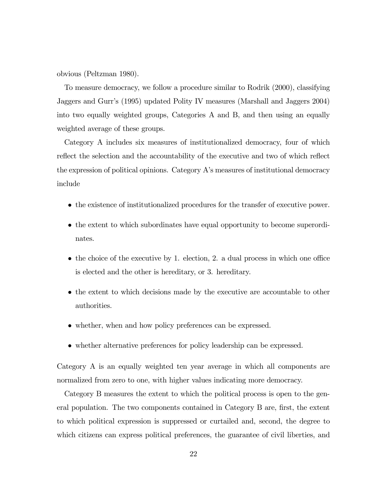obvious (Peltzman 1980).

To measure democracy, we follow a procedure similar to Rodrik (2000), classifying Jaggers and Gurr's (1995) updated Polity IV measures (Marshall and Jaggers 2004) into two equally weighted groups, Categories A and B, and then using an equally weighted average of these groups.

Category A includes six measures of institutionalized democracy, four of which reflect the selection and the accountability of the executive and two of which reflect the expression of political opinions. Category A's measures of institutional democracy include

- the existence of institutionalized procedures for the transfer of executive power.
- the extent to which subordinates have equal opportunity to become superordinates.
- the choice of the executive by 1. election, 2. a dual process in which one office is elected and the other is hereditary, or 3. hereditary.
- the extent to which decisions made by the executive are accountable to other authorities.
- whether, when and how policy preferences can be expressed.
- whether alternative preferences for policy leadership can be expressed.

Category A is an equally weighted ten year average in which all components are normalized from zero to one, with higher values indicating more democracy.

Category B measures the extent to which the political process is open to the general population. The two components contained in Category B are, first, the extent to which political expression is suppressed or curtailed and, second, the degree to which citizens can express political preferences, the guarantee of civil liberties, and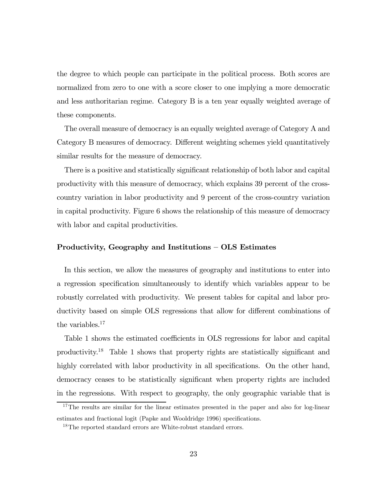the degree to which people can participate in the political process. Both scores are normalized from zero to one with a score closer to one implying a more democratic and less authoritarian regime. Category B is a ten year equally weighted average of these components.

The overall measure of democracy is an equally weighted average of Category A and Category B measures of democracy. Different weighting schemes yield quantitatively similar results for the measure of democracy.

There is a positive and statistically significant relationship of both labor and capital productivity with this measure of democracy, which explains 39 percent of the crosscountry variation in labor productivity and 9 percent of the cross-country variation in capital productivity. Figure 6 shows the relationship of this measure of democracy with labor and capital productivities.

# Productivity, Geography and Institutions — OLS Estimates

In this section, we allow the measures of geography and institutions to enter into a regression specification simultaneously to identify which variables appear to be robustly correlated with productivity. We present tables for capital and labor productivity based on simple OLS regressions that allow for different combinations of the variables.<sup>17</sup>

Table 1 shows the estimated coefficients in OLS regressions for labor and capital productivity.18 Table 1 shows that property rights are statistically significant and highly correlated with labor productivity in all specifications. On the other hand, democracy ceases to be statistically significant when property rights are included in the regressions. With respect to geography, the only geographic variable that is

<sup>&</sup>lt;sup>17</sup>The results are similar for the linear estimates presented in the paper and also for log-linear estimates and fractional logit (Papke and Wooldridge 1996) specifications.

<sup>&</sup>lt;sup>18</sup>The reported standard errors are White-robust standard errors.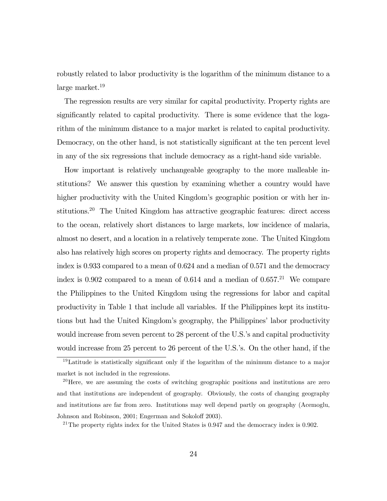robustly related to labor productivity is the logarithm of the minimum distance to a large market. $19$ 

The regression results are very similar for capital productivity. Property rights are significantly related to capital productivity. There is some evidence that the logarithm of the minimum distance to a major market is related to capital productivity. Democracy, on the other hand, is not statistically significant at the ten percent level in any of the six regressions that include democracy as a right-hand side variable.

How important is relatively unchangeable geography to the more malleable institutions? We answer this question by examining whether a country would have higher productivity with the United Kingdom's geographic position or with her institutions.<sup>20</sup> The United Kingdom has attractive geographic features: direct access to the ocean, relatively short distances to large markets, low incidence of malaria, almost no desert, and a location in a relatively temperate zone. The United Kingdom also has relatively high scores on property rights and democracy. The property rights index is 0.933 compared to a mean of 0.624 and a median of 0.571 and the democracy index is 0.902 compared to a mean of 0.614 and a median of  $0.657<sup>21</sup>$  We compare the Philippines to the United Kingdom using the regressions for labor and capital productivity in Table 1 that include all variables. If the Philippines kept its institutions but had the United Kingdom's geography, the Philippines' labor productivity would increase from seven percent to 28 percent of the U.S.'s and capital productivity would increase from 25 percent to 26 percent of the U.S.'s. On the other hand, if the

<sup>&</sup>lt;sup>19</sup>Latitude is statistically significant only if the logarithm of the minimum distance to a major market is not included in the regressions.

 $^{20}$  Here, we are assuming the costs of switching geographic positions and institutions are zero and that institutions are independent of geography. Obviously, the costs of changing geography and institutions are far from zero. Institutions may well depend partly on geography (Acemoglu, Johnson and Robinson, 2001; Engerman and Sokoloff 2003).

<sup>&</sup>lt;sup>21</sup>The property rights index for the United States is  $0.947$  and the democracy index is 0.902.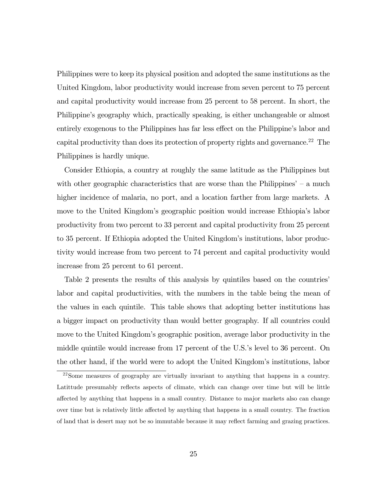Philippines were to keep its physical position and adopted the same institutions as the United Kingdom, labor productivity would increase from seven percent to 75 percent and capital productivity would increase from 25 percent to 58 percent. In short, the Philippine's geography which, practically speaking, is either unchangeable or almost entirely exogenous to the Philippines has far less effect on the Philippine's labor and capital productivity than does its protection of property rights and governance.22 The Philippines is hardly unique.

Consider Ethiopia, a country at roughly the same latitude as the Philippines but with other geographic characteristics that are worse than the Philippines' – a much higher incidence of malaria, no port, and a location farther from large markets. A move to the United Kingdom's geographic position would increase Ethiopia's labor productivity from two percent to 33 percent and capital productivity from 25 percent to 35 percent. If Ethiopia adopted the United Kingdom's institutions, labor productivity would increase from two percent to 74 percent and capital productivity would increase from 25 percent to 61 percent.

Table 2 presents the results of this analysis by quintiles based on the countries' labor and capital productivities, with the numbers in the table being the mean of the values in each quintile. This table shows that adopting better institutions has a bigger impact on productivity than would better geography. If all countries could move to the United Kingdom's geographic position, average labor productivity in the middle quintile would increase from 17 percent of the U.S.'s level to 36 percent. On the other hand, if the world were to adopt the United Kingdom's institutions, labor

<sup>22</sup>Some measures of geography are virtually invariant to anything that happens in a country. Latittude presumably reflects aspects of climate, which can change over time but will be little affected by anything that happens in a small country. Distance to major markets also can change over time but is relatively little affected by anything that happens in a small country. The fraction of land that is desert may not be so immutable because it may reflect farming and grazing practices.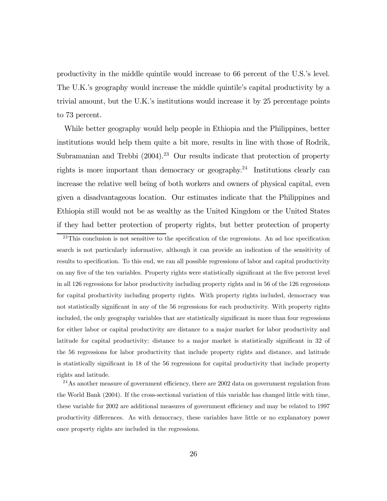productivity in the middle quintile would increase to 66 percent of the U.S.'s level. The U.K.'s geography would increase the middle quintile's capital productivity by a trivial amount, but the U.K.'s institutions would increase it by 25 percentage points to 73 percent.

While better geography would help people in Ethiopia and the Philippines, better institutions would help them quite a bit more, results in line with those of Rodrik, Subramanian and Trebbi  $(2004).^{23}$  Our results indicate that protection of property rights is more important than democracy or geography.<sup>24</sup> Institutions clearly can increase the relative well being of both workers and owners of physical capital, even given a disadvantageous location. Our estimates indicate that the Philippines and Ethiopia still would not be as wealthy as the United Kingdom or the United States if they had better protection of property rights, but better protection of property

 $24$ As another measure of government efficiency, there are 2002 data on government regulation from the World Bank (2004). If the cross-sectional variation of this variable has changed little with time, these variable for 2002 are additional measures of government efficiency and may be related to 1997 productivity differences. As with democracy, these variables have little or no explanatory power once property rights are included in the regressions.

 $^{23}$ This conclusion is not sensitive to the specification of the regressions. An ad hoc specification search is not particularly informative, although it can provide an indication of the sensitivity of results to specification. To this end, we ran all possible regressions of labor and capital productivity on any five of the ten variables. Property rights were statistically significant at the five percent level in all 126 regressions for labor productivity including property rights and in 56 of the 126 regressions for capital productivity including property rights. With property rights included, democracy was not statistically significant in any of the 56 regressions for each productivity. With property rights included, the only geography variables that are statistically significant in more than four regressions for either labor or capital productivity are distance to a major market for labor productivity and latitude for capital productivity; distance to a major market is statistically significant in 32 of the 56 regressions for labor productivity that include property rights and distance, and latitude is statistically significant in 18 of the 56 regressions for capital productivity that include property rights and latitude.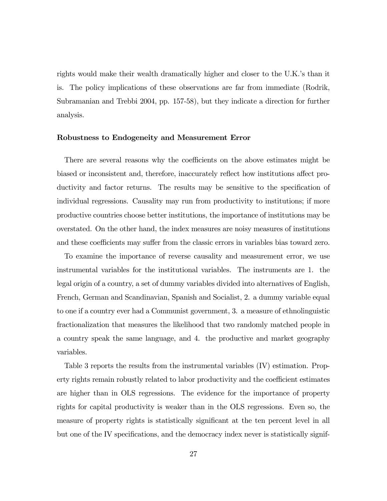rights would make their wealth dramatically higher and closer to the U.K.'s than it is. The policy implications of these observations are far from immediate (Rodrik, Subramanian and Trebbi 2004, pp. 157-58), but they indicate a direction for further analysis.

#### Robustness to Endogeneity and Measurement Error

There are several reasons why the coefficients on the above estimates might be biased or inconsistent and, therefore, inaccurately reflect how institutions affect productivity and factor returns. The results may be sensitive to the specification of individual regressions. Causality may run from productivity to institutions; if more productive countries choose better institutions, the importance of institutions may be overstated. On the other hand, the index measures are noisy measures of institutions and these coefficients may suffer from the classic errors in variables bias toward zero.

To examine the importance of reverse causality and measurement error, we use instrumental variables for the institutional variables. The instruments are 1. the legal origin of a country, a set of dummy variables divided into alternatives of English, French, German and Scandinavian, Spanish and Socialist, 2. a dummy variable equal to one if a country ever had a Communist government, 3. a measure of ethnolinguistic fractionalization that measures the likelihood that two randomly matched people in a country speak the same language, and 4. the productive and market geography variables.

Table 3 reports the results from the instrumental variables (IV) estimation. Property rights remain robustly related to labor productivity and the coefficient estimates are higher than in OLS regressions. The evidence for the importance of property rights for capital productivity is weaker than in the OLS regressions. Even so, the measure of property rights is statistically significant at the ten percent level in all but one of the IV specifications, and the democracy index never is statistically signif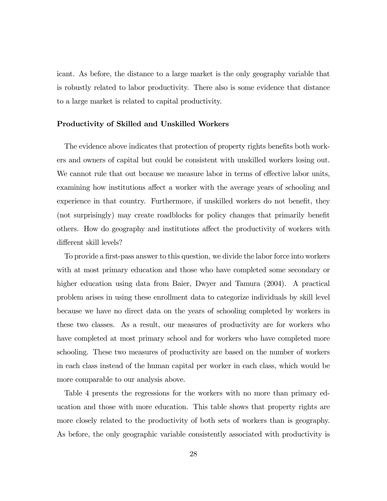icant. As before, the distance to a large market is the only geography variable that is robustly related to labor productivity. There also is some evidence that distance to a large market is related to capital productivity.

# Productivity of Skilled and Unskilled Workers

The evidence above indicates that protection of property rights benefits both workers and owners of capital but could be consistent with unskilled workers losing out. We cannot rule that out because we measure labor in terms of effective labor units, examining how institutions affect a worker with the average years of schooling and experience in that country. Furthermore, if unskilled workers do not benefit, they (not surprisingly) may create roadblocks for policy changes that primarily benefit others. How do geography and institutions affect the productivity of workers with different skill levels?

To provide a first-pass answer to this question, we divide the labor force into workers with at most primary education and those who have completed some secondary or higher education using data from Baier, Dwyer and Tamura (2004). A practical problem arises in using these enrollment data to categorize individuals by skill level because we have no direct data on the years of schooling completed by workers in these two classes. As a result, our measures of productivity are for workers who have completed at most primary school and for workers who have completed more schooling. These two measures of productivity are based on the number of workers in each class instead of the human capital per worker in each class, which would be more comparable to our analysis above.

Table 4 presents the regressions for the workers with no more than primary education and those with more education. This table shows that property rights are more closely related to the productivity of both sets of workers than is geography. As before, the only geographic variable consistently associated with productivity is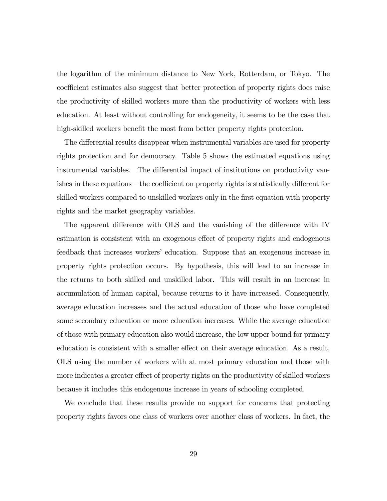the logarithm of the minimum distance to New York, Rotterdam, or Tokyo. The coefficient estimates also suggest that better protection of property rights does raise the productivity of skilled workers more than the productivity of workers with less education. At least without controlling for endogeneity, it seems to be the case that high-skilled workers benefit the most from better property rights protection.

The differential results disappear when instrumental variables are used for property rights protection and for democracy. Table 5 shows the estimated equations using instrumental variables. The differential impact of institutions on productivity vanishes in these equations — the coefficient on property rights is statistically different for skilled workers compared to unskilled workers only in the first equation with property rights and the market geography variables.

The apparent difference with OLS and the vanishing of the difference with IV estimation is consistent with an exogenous effect of property rights and endogenous feedback that increases workers' education. Suppose that an exogenous increase in property rights protection occurs. By hypothesis, this will lead to an increase in the returns to both skilled and unskilled labor. This will result in an increase in accumulation of human capital, because returns to it have increased. Consequently, average education increases and the actual education of those who have completed some secondary education or more education increases. While the average education of those with primary education also would increase, the low upper bound for primary education is consistent with a smaller effect on their average education. As a result, OLS using the number of workers with at most primary education and those with more indicates a greater effect of property rights on the productivity of skilled workers because it includes this endogenous increase in years of schooling completed.

We conclude that these results provide no support for concerns that protecting property rights favors one class of workers over another class of workers. In fact, the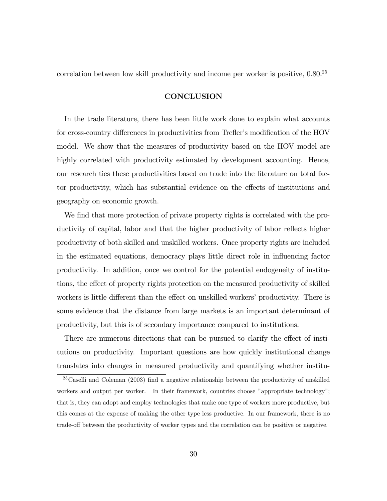correlation between low skill productivity and income per worker is positive, 0.80.25

# **CONCLUSION**

In the trade literature, there has been little work done to explain what accounts for cross-country differences in productivities from Trefler's modification of the HOV model. We show that the measures of productivity based on the HOV model are highly correlated with productivity estimated by development accounting. Hence, our research ties these productivities based on trade into the literature on total factor productivity, which has substantial evidence on the effects of institutions and geography on economic growth.

We find that more protection of private property rights is correlated with the productivity of capital, labor and that the higher productivity of labor reflects higher productivity of both skilled and unskilled workers. Once property rights are included in the estimated equations, democracy plays little direct role in influencing factor productivity. In addition, once we control for the potential endogeneity of institutions, the effect of property rights protection on the measured productivity of skilled workers is little different than the effect on unskilled workers' productivity. There is some evidence that the distance from large markets is an important determinant of productivity, but this is of secondary importance compared to institutions.

There are numerous directions that can be pursued to clarify the effect of institutions on productivity. Important questions are how quickly institutional change translates into changes in measured productivity and quantifying whether institu-

 $25$ Caselli and Coleman (2003) find a negative relationship between the productivity of unskilled workers and output per worker. In their framework, countries choose "appropriate technology"; that is, they can adopt and employ technologies that make one type of workers more productive, but this comes at the expense of making the other type less productive. In our framework, there is no trade-off between the productivity of worker types and the correlation can be positive or negative.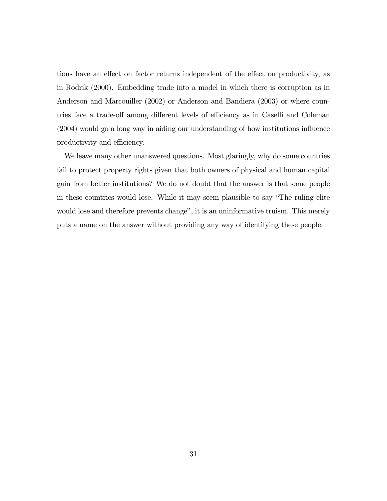tions have an effect on factor returns independent of the effect on productivity, as in Rodrik (2000). Embedding trade into a model in which there is corruption as in Anderson and Marcouiller (2002) or Anderson and Bandiera (2003) or where countries face a trade-off among different levels of efficiency as in Caselli and Coleman (2004) would go a long way in aiding our understanding of how institutions influence productivity and efficiency.

We leave many other unanswered questions. Most glaringly, why do some countries fail to protect property rights given that both owners of physical and human capital gain from better institutions? We do not doubt that the answer is that some people in these countries would lose. While it may seem plausible to say "The ruling elite would lose and therefore prevents change", it is an uninformative truism. This merely puts a name on the answer without providing any way of identifying these people.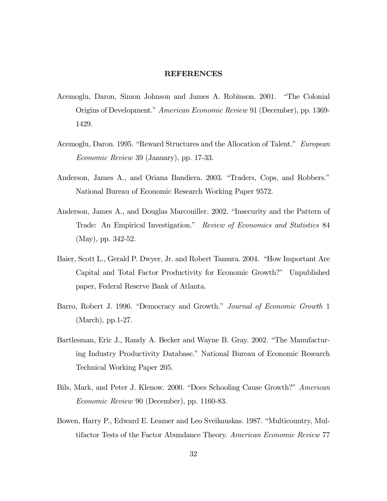#### REFERENCES

- Acemoglu, Daron, Simon Johnson and James A. Robinson. 2001. "The Colonial Origins of Development." American Economic Review 91 (December), pp. 1369- 1429.
- Acemoglu, Daron. 1995. "Reward Structures and the Allocation of Talent." European Economic Review 39 (January), pp. 17-33.
- Anderson, James A., and Oriana Bandiera. 2003. "Traders, Cops, and Robbers." National Bureau of Economic Research Working Paper 9572.
- Anderson, James A., and Douglas Marcouiller. 2002. "Insecurity and the Pattern of Trade: An Empirical Investigation." Review of Economics and Statistics 84 (May), pp. 342-52.
- Baier, Scott L., Gerald P. Dwyer, Jr. and Robert Tamura. 2004. "How Important Are Capital and Total Factor Productivity for Economic Growth?" Unpublished paper, Federal Reserve Bank of Atlanta.
- Barro, Robert J. 1996. "Democracy and Growth." Journal of Economic Growth 1 (March), pp.1-27.
- Bartlesman, Eric J., Randy A. Becker and Wayne B. Gray. 2002. "The Manufacturing Industry Productivity Database." National Bureau of Economic Research Technical Working Paper 205.
- Bils, Mark, and Peter J. Klenow. 2000. "Does Schooling Cause Growth?" American Economic Review 90 (December), pp. 1160-83.
- Bowen, Harry P., Edward E. Leamer and Leo Sveikauskas. 1987. "Multicountry, Multifactor Tests of the Factor Abundance Theory. American Economic Review 77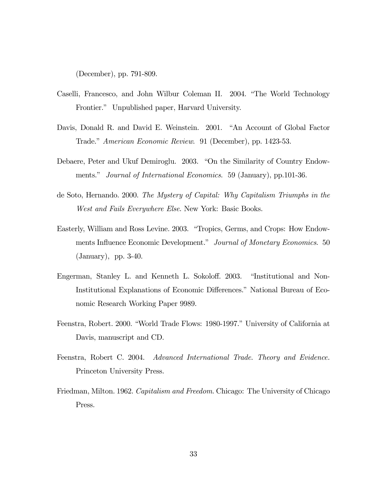(December), pp. 791-809.

- Caselli, Francesco, and John Wilbur Coleman II. 2004. "The World Technology Frontier." Unpublished paper, Harvard University.
- Davis, Donald R. and David E. Weinstein. 2001. "An Account of Global Factor Trade." American Economic Review. 91 (December), pp. 1423-53.
- Debaere, Peter and Ukuf Demiroglu. 2003. "On the Similarity of Country Endowments." Journal of International Economics. 59 (January), pp.101-36.
- de Soto, Hernando. 2000. The Mystery of Capital: Why Capitalism Triumphs in the West and Fails Everywhere Else. New York: Basic Books.
- Easterly, William and Ross Levine. 2003. "Tropics, Germs, and Crops: How Endowments Influence Economic Development." Journal of Monetary Economics. 50 (January), pp. 3-40.
- Engerman, Stanley L. and Kenneth L. Sokoloff. 2003. "Institutional and Non-Institutional Explanations of Economic Differences." National Bureau of Economic Research Working Paper 9989.
- Feenstra, Robert. 2000. "World Trade Flows: 1980-1997." University of California at Davis, manuscript and CD.
- Feenstra, Robert C. 2004. Advanced International Trade. Theory and Evidence. Princeton University Press.
- Friedman, Milton. 1962. *Capitalism and Freedom*. Chicago: The University of Chicago Press.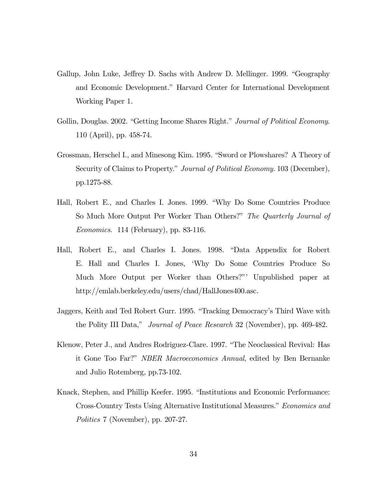- Gallup, John Luke, Jeffrey D. Sachs with Andrew D. Mellinger. 1999. "Geography and Economic Development." Harvard Center for International Development Working Paper 1.
- Gollin, Douglas. 2002. "Getting Income Shares Right." Journal of Political Economy. 110 (April), pp. 458-74.
- Grossman, Herschel I., and Minesong Kim. 1995. "Sword or Plowshares? A Theory of Security of Claims to Property." Journal of Political Economy. 103 (December), pp.1275-88.
- Hall, Robert E., and Charles I. Jones. 1999. "Why Do Some Countries Produce So Much More Output Per Worker Than Others?" The Quarterly Journal of Economics. 114 (February), pp. 83-116.
- Hall, Robert E., and Charles I. Jones. 1998. "Data Appendix for Robert E. Hall and Charles I. Jones, 'Why Do Some Countries Produce So Much More Output per Worker than Others?"' Unpublished paper at http://emlab.berkeley.edu/users/chad/HallJones400.asc.
- Jaggers, Keith and Ted Robert Gurr. 1995. "Tracking Democracy's Third Wave with the Polity III Data," *Journal of Peace Research* 32 (November), pp. 469-482.
- Klenow, Peter J., and Andres Rodriguez-Clare. 1997. "The Neoclassical Revival: Has it Gone Too Far?" NBER Macroeconomics Annual, edited by Ben Bernanke and Julio Rotemberg, pp.73-102.
- Knack, Stephen, and Phillip Keefer. 1995. "Institutions and Economic Performance: Cross-Country Tests Using Alternative Institutional Measures." Economics and Politics 7 (November), pp. 207-27.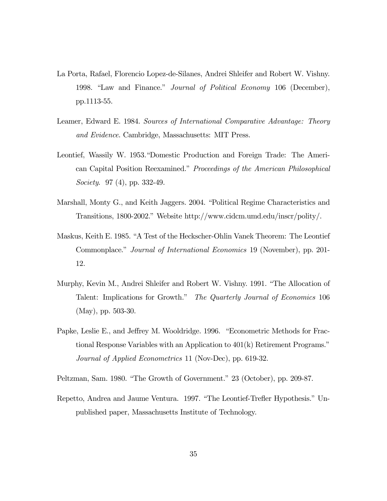- La Porta, Rafael, Florencio Lopez-de-Silanes, Andrei Shleifer and Robert W. Vishny. 1998. "Law and Finance." Journal of Political Economy 106 (December), pp.1113-55.
- Leamer, Edward E. 1984. Sources of International Comparative Advantage: Theory and Evidence. Cambridge, Massachusetts: MIT Press.
- Leontief, Wassily W. 1953."Domestic Production and Foreign Trade: The American Capital Position Reexamined." Proceedings of the American Philosophical Society. 97 (4), pp. 332-49.
- Marshall, Monty G., and Keith Jaggers. 2004. "Political Regime Characteristics and Transitions, 1800-2002." Website http://www.cidcm.umd.edu/inscr/polity/.
- Maskus, Keith E. 1985. "A Test of the Heckscher-Ohlin Vanek Theorem: The Leontief Commonplace." Journal of International Economics 19 (November), pp. 201- 12.
- Murphy, Kevin M., Andrei Shleifer and Robert W. Vishny. 1991. "The Allocation of Talent: Implications for Growth." The Quarterly Journal of Economics 106 (May), pp. 503-30.
- Papke, Leslie E., and Jeffrey M. Wooldridge. 1996. "Econometric Methods for Fractional Response Variables with an Application to 401(k) Retirement Programs." Journal of Applied Econometrics 11 (Nov-Dec), pp. 619-32.
- Peltzman, Sam. 1980. "The Growth of Government." 23 (October), pp. 209-87.
- Repetto, Andrea and Jaume Ventura. 1997. "The Leontief-Trefler Hypothesis." Unpublished paper, Massachusetts Institute of Technology.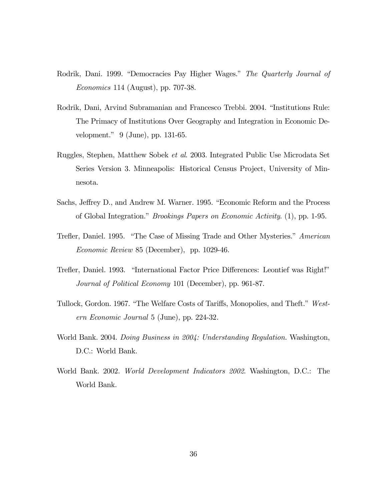- Rodrik, Dani. 1999. "Democracies Pay Higher Wages." The Quarterly Journal of Economics 114 (August), pp. 707-38.
- Rodrik, Dani, Arvind Subramanian and Francesco Trebbi. 2004. "Institutions Rule: The Primacy of Institutions Over Geography and Integration in Economic Development." 9 (June), pp. 131-65.
- Ruggles, Stephen, Matthew Sobek et al. 2003. Integrated Public Use Microdata Set Series Version 3. Minneapolis: Historical Census Project, University of Minnesota.
- Sachs, Jeffrey D., and Andrew M. Warner. 1995. "Economic Reform and the Process of Global Integration." Brookings Papers on Economic Activity. (1), pp. 1-95.
- Trefler, Daniel. 1995. "The Case of Missing Trade and Other Mysteries." American Economic Review 85 (December), pp. 1029-46.
- Trefler, Daniel. 1993. "International Factor Price Differences: Leontief was Right!" Journal of Political Economy 101 (December), pp. 961-87.
- Tullock, Gordon. 1967. "The Welfare Costs of Tariffs, Monopolies, and Theft." Western Economic Journal 5 (June), pp. 224-32.
- World Bank. 2004. Doing Business in 2004: Understanding Regulation. Washington, D.C.: World Bank.
- World Bank. 2002. World Development Indicators 2002. Washington, D.C.: The World Bank.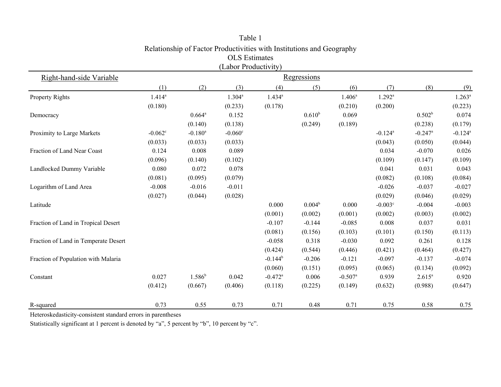|                                      |             |                       | (Labor Productivity) |                       |             |                       |                       |                       |                       |
|--------------------------------------|-------------|-----------------------|----------------------|-----------------------|-------------|-----------------------|-----------------------|-----------------------|-----------------------|
| Right-hand-side Variable             |             |                       |                      |                       | Regressions |                       |                       |                       |                       |
|                                      | (1)         | (2)                   | (3)                  | (4)                   | (5)         | (6)                   | (7)                   | (8)                   | (9)                   |
| Property Rights                      | $1.414^{a}$ |                       | $1.304^a$            | $1.434^{a}$           |             | $1.406^a$             | $1.292^a$             |                       | $1.263^a$             |
|                                      | (0.180)     |                       | (0.233)              | (0.178)               |             | (0.210)               | (0.200)               |                       | (0.223)               |
| Democracy                            |             | $0.664^{\rm a}$       | 0.152                |                       | $0.610^{b}$ | 0.069                 |                       | 0.502 <sup>b</sup>    | 0.074                 |
|                                      |             | (0.140)               | (0.138)              |                       | (0.249)     | (0.189)               |                       | (0.238)               | (0.179)               |
| Proximity to Large Markets           | $-0.062c$   | $-0.180$ <sup>a</sup> | $-0.060^{\circ}$     |                       |             |                       | $-0.124$ <sup>a</sup> | $-0.247$ <sup>a</sup> | $-0.124$ <sup>a</sup> |
|                                      | (0.033)     | (0.033)               | (0.033)              |                       |             |                       | (0.043)               | (0.050)               | (0.044)               |
| Fraction of Land Near Coast          | 0.124       | 0.008                 | 0.089                |                       |             |                       | 0.034                 | $-0.070$              | 0.026                 |
|                                      | (0.096)     | (0.140)               | (0.102)              |                       |             |                       | (0.109)               | (0.147)               | (0.109)               |
| Landlocked Dummy Variable            | 0.080       | 0.072                 | 0.078                |                       |             |                       | 0.041                 | 0.031                 | 0.043                 |
|                                      | (0.081)     | (0.095)               | (0.079)              |                       |             |                       | (0.082)               | (0.108)               | (0.084)               |
| Logarithm of Land Area               | $-0.008$    | $-0.016$              | $-0.011$             |                       |             |                       | $-0.026$              | $-0.037$              | $-0.027$              |
|                                      | (0.027)     | (0.044)               | (0.028)              |                       |             |                       | (0.029)               | (0.046)               | (0.029)               |
| Latitude                             |             |                       |                      | 0.000                 | $0.004^b$   | 0.000                 | $-0.003^{\circ}$      | $-0.004$              | $-0.003$              |
|                                      |             |                       |                      | (0.001)               | (0.002)     | (0.001)               | (0.002)               | (0.003)               | (0.002)               |
| Fraction of Land in Tropical Desert  |             |                       |                      | $-0.107$              | $-0.144$    | $-0.085$              | 0.008                 | 0.037                 | 0.031                 |
|                                      |             |                       |                      | (0.081)               | (0.156)     | (0.103)               | (0.101)               | (0.150)               | (0.113)               |
| Fraction of Land in Temperate Desert |             |                       |                      | $-0.058$              | 0.318       | $-0.030$              | 0.092                 | 0.261                 | 0.128                 |
|                                      |             |                       |                      | (0.424)               | (0.544)     | (0.446)               | (0.421)               | (0.464)               | (0.427)               |
| Fraction of Population with Malaria  |             |                       |                      | $-0.144^b$            | $-0.206$    | $-0.121$              | $-0.097$              | $-0.137$              | $-0.074$              |
|                                      |             |                       |                      | (0.060)               | (0.151)     | (0.095)               | (0.065)               | (0.134)               | (0.092)               |
| Constant                             | 0.027       | $1.586^{b}$           | 0.042                | $-0.472$ <sup>a</sup> | 0.006       | $-0.507$ <sup>a</sup> | 0.939                 | $2.615^{a}$           | 0.920                 |
|                                      | (0.412)     | (0.667)               | (0.406)              | (0.118)               | (0.225)     | (0.149)               | (0.632)               | (0.988)               | (0.647)               |
| R-squared                            | 0.73        | 0.55                  | 0.73                 | 0.71                  | 0.48        | 0.71                  | 0.75                  | 0.58                  | 0.75                  |

Table 1 Relationship of Factor Productivities with Institutions and Geography OLS Estimates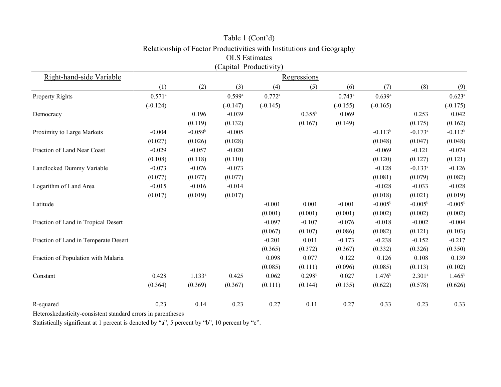|                                      |                      |             | (Capital Productivity) |            |                    |            |                  |                       |                  |
|--------------------------------------|----------------------|-------------|------------------------|------------|--------------------|------------|------------------|-----------------------|------------------|
| Right-hand-side Variable             | Regressions          |             |                        |            |                    |            |                  |                       |                  |
|                                      | (1)                  | (2)         | (3)                    | (4)        | (5)                | (6)        | (7)              | (8)                   | (9)              |
| <b>Property Rights</b>               | $0.571$ <sup>a</sup> |             | $0.599$ <sup>a</sup>   | $0.772^a$  |                    | $0.743^a$  | $0.639^{a}$      |                       | $0.623^{\rm a}$  |
|                                      | $(-0.124)$           |             | $(-0.147)$             | $(-0.145)$ |                    | $(-0.155)$ | $(-0.165)$       |                       | $(-0.175)$       |
| Democracy                            |                      | 0.196       | $-0.039$               |            | $0.355^{b}$        | 0.069      |                  | 0.253                 | 0.042            |
|                                      |                      | (0.119)     | (0.132)                |            | (0.167)            | (0.149)    |                  | (0.175)               | (0.162)          |
| Proximity to Large Markets           | $-0.004$             | $-0.059^b$  | $-0.005$               |            |                    |            | $-0.113^{b}$     | $-0.173$ <sup>a</sup> | $-0.112^{b}$     |
|                                      | (0.027)              | (0.026)     | (0.028)                |            |                    |            | (0.048)          | (0.047)               | (0.048)          |
| Fraction of Land Near Coast          | $-0.029$             | $-0.057$    | $-0.020$               |            |                    |            | $-0.069$         | $-0.121$              | $-0.074$         |
|                                      | (0.108)              | (0.118)     | (0.110)                |            |                    |            | (0.120)          | (0.127)               | (0.121)          |
| Landlocked Dummy Variable            | $-0.073$             | $-0.076$    | $-0.073$               |            |                    |            | $-0.128$         | $-0.133$ c            | $-0.126$         |
|                                      | (0.077)              | (0.077)     | (0.077)                |            |                    |            | (0.081)          | (0.079)               | (0.082)          |
| Logarithm of Land Area               | $-0.015$             | $-0.016$    | $-0.014$               |            |                    |            | $-0.028$         | $-0.033$              | $-0.028$         |
|                                      | (0.017)              | (0.019)     | (0.017)                |            |                    |            | (0.018)          | (0.021)               | (0.019)          |
| Latitude                             |                      |             |                        | $-0.001$   | 0.001              | $-0.001$   | $-0.005^{\rm b}$ | $-0.005^{\rm b}$      | $-0.005^{\rm b}$ |
|                                      |                      |             |                        | (0.001)    | (0.001)            | (0.001)    | (0.002)          | (0.002)               | (0.002)          |
| Fraction of Land in Tropical Desert  |                      |             |                        | $-0.097$   | $-0.107$           | $-0.076$   | $-0.018$         | $-0.002$              | $-0.004$         |
|                                      |                      |             |                        | (0.067)    | (0.107)            | (0.086)    | (0.082)          | (0.121)               | (0.103)          |
| Fraction of Land in Temperate Desert |                      |             |                        | $-0.201$   | 0.011              | $-0.173$   | $-0.238$         | $-0.152$              | $-0.217$         |
|                                      |                      |             |                        | (0.365)    | (0.372)            | (0.367)    | (0.332)          | (0.326)               | (0.350)          |
| Fraction of Population with Malaria  |                      |             |                        | 0.098      | 0.077              | 0.122      | 0.126            | 0.108                 | 0.139            |
|                                      |                      |             |                        | (0.085)    | (0.111)            | (0.096)    | (0.085)          | (0.113)               | (0.102)          |
| Constant                             | 0.428                | $1.133^{a}$ | 0.425                  | 0.062      | 0.298 <sup>b</sup> | 0.027      | $1.476^b$        | $2.301^{a}$           | $1.465^b$        |
|                                      | (0.364)              | (0.369)     | (0.367)                | (0.111)    | (0.144)            | (0.135)    | (0.622)          | (0.578)               | (0.626)          |
| R-squared                            | 0.23                 | 0.14        | 0.23                   | 0.27       | 0.11               | 0.27       | 0.33             | 0.23                  | 0.33             |

Table 1 (Cont'd) Relationship of Factor Productivities with Institutions and Geography OLS Estimates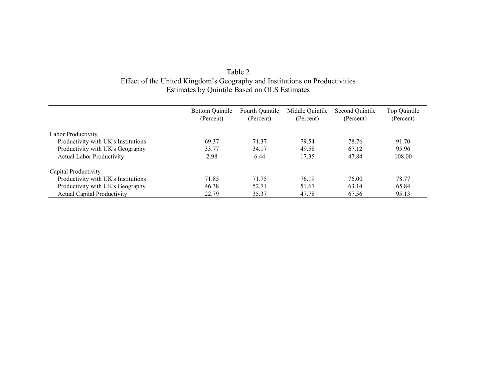| Table 2                                                                     |  |
|-----------------------------------------------------------------------------|--|
| Effect of the United Kingdom's Geography and Institutions on Productivities |  |
| Estimates by Quintile Based on OLS Estimates                                |  |
|                                                                             |  |

|                                     | <b>Bottom Quintile</b> | Fourth Quintile | Middle Quintile | Second Quintile | Top Quintile |
|-------------------------------------|------------------------|-----------------|-----------------|-----------------|--------------|
|                                     | (Percent)              | (Percent)       | (Percent)       | (Percent)       | (Percent)    |
| Labor Productivity                  |                        |                 |                 |                 |              |
| Productivity with UK's Institutions | 69.37                  | 71.37           | 79.54           | 78.76           | 91.70        |
|                                     |                        |                 |                 |                 |              |
| Productivity with UK's Geography    | 33.77                  | 34.17           | 49.58           | 67.12           | 95.96        |
| <b>Actual Labor Productivity</b>    | 2.98                   | 6.44            | 17.35           | 47.84           | 108.00       |
| Capital Productivity                |                        |                 |                 |                 |              |
| Productivity with UK's Institutions | 71.85                  | 71.75           | 76.19           | 76.00           | 78.77        |
| Productivity with UK's Geography    | 46.38                  | 52.71           | 51.67           | 63.14           | 65.84        |
| <b>Actual Capital Productivity</b>  | 22.79                  | 35.37           | 47.78           | 67.56           | 95.13        |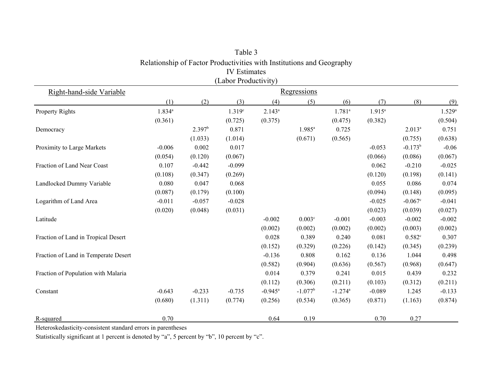|                                      |             |                    | (Labor Productivity) |             |                    |                       |           |                       |             |
|--------------------------------------|-------------|--------------------|----------------------|-------------|--------------------|-----------------------|-----------|-----------------------|-------------|
| Right-hand-side Variable             |             |                    |                      |             | Regressions        |                       |           |                       |             |
|                                      | (1)         | (2)                | (3)                  | (4)         | (5)                | (6)                   | (7)       | (8)                   | (9)         |
| Property Rights                      | $1.834^{a}$ |                    | 1.319 <sup>c</sup>   | $2.143^{a}$ |                    | $1.781^a$             | $1.915^a$ |                       | $1.529^{a}$ |
|                                      | (0.361)     |                    | (0.725)              | (0.375)     |                    | (0.475)               | (0.382)   |                       | (0.504)     |
| Democracy                            |             | 2.397 <sup>b</sup> | 0.871                |             | $1.985^{a}$        | 0.725                 |           | $2.013^{a}$           | 0.751       |
|                                      |             | (1.033)            | (1.014)              |             | (0.671)            | (0.565)               |           | (0.755)               | (0.638)     |
| Proximity to Large Markets           | $-0.006$    | 0.002              | 0.017                |             |                    |                       | $-0.053$  | $-0.173^b$            | $-0.06$     |
|                                      | (0.054)     | (0.120)            | (0.067)              |             |                    |                       | (0.066)   | (0.086)               | (0.067)     |
| Fraction of Land Near Coast          | 0.107       | $-0.442$           | $-0.099$             |             |                    |                       | 0.062     | $-0.210$              | $-0.025$    |
|                                      | (0.108)     | (0.347)            | (0.269)              |             |                    |                       | (0.120)   | (0.198)               | (0.141)     |
| Landlocked Dummy Variable            | 0.080       | 0.047              | 0.068                |             |                    |                       | 0.055     | 0.086                 | 0.074       |
|                                      | (0.087)     | (0.179)            | (0.100)              |             |                    |                       | (0.094)   | (0.148)               | (0.095)     |
| Logarithm of Land Area               | $-0.011$    | $-0.057$           | $-0.028$             |             |                    |                       | $-0.025$  | $-0.067$ <sup>c</sup> | $-0.041$    |
|                                      | (0.020)     | (0.048)            | (0.031)              |             |                    |                       | (0.023)   | (0.039)               | (0.027)     |
| Latitude                             |             |                    |                      | $-0.002$    | 0.003 <sup>c</sup> | $-0.001$              | $-0.003$  | $-0.002$              | $-0.002$    |
|                                      |             |                    |                      | (0.002)     | (0.002)            | (0.002)               | (0.002)   | (0.003)               | (0.002)     |
| Fraction of Land in Tropical Desert  |             |                    |                      | 0.028       | 0.389              | 0.240                 | 0.081     | 0.582c                | 0.307       |
|                                      |             |                    |                      | (0.152)     | (0.329)            | (0.226)               | (0.142)   | (0.345)               | (0.239)     |
| Fraction of Land in Temperate Desert |             |                    |                      | $-0.136$    | 0.808              | 0.162                 | 0.136     | 1.044                 | 0.498       |
|                                      |             |                    |                      | (0.582)     | (0.904)            | (0.636)               | (0.567)   | (0.968)               | (0.647)     |
| Fraction of Population with Malaria  |             |                    |                      | 0.014       | 0.379              | 0.241                 | 0.015     | 0.439                 | 0.232       |
|                                      |             |                    |                      | (0.112)     | (0.306)            | (0.211)               | (0.103)   | (0.312)               | (0.211)     |
| Constant                             | $-0.643$    | $-0.233$           | $-0.735$             | $-0.945^a$  | $-1.077^b$         | $-1.274$ <sup>a</sup> | $-0.089$  | 1.245                 | $-0.133$    |
|                                      | (0.680)     | (1.311)            | (0.774)              | (0.256)     | (0.534)            | (0.365)               | (0.871)   | (1.163)               | (0.874)     |
| R-squared                            | 0.70        |                    |                      | 0.64        | 0.19               |                       | 0.70      | 0.27                  |             |

Table 3 Relationship of Factor Productivities with Institutions and Geography IV Estimates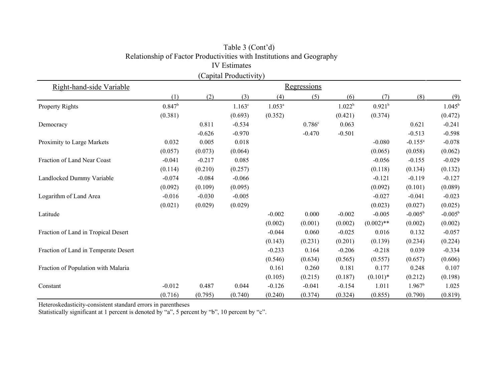|                                      |                 |          | (Capital Productivity) |             |          |                    |                    |                    |                  |  |
|--------------------------------------|-----------------|----------|------------------------|-------------|----------|--------------------|--------------------|--------------------|------------------|--|
| Right-hand-side Variable             | Regressions     |          |                        |             |          |                    |                    |                    |                  |  |
|                                      | (1)             | (2)      | (3)                    | (4)         | (5)      | (6)                | (7)                | (8)                | (9)              |  |
| Property Rights                      | $0.847^{\rm b}$ |          | $1.163^c$              | $1.053^{a}$ |          | 1.022 <sup>b</sup> | 0.921 <sup>b</sup> |                    | $1.045^{\rm b}$  |  |
|                                      | (0.381)         |          | (0.693)                | (0.352)     |          | (0.421)            | (0.374)            |                    | (0.472)          |  |
| Democracy                            |                 | 0.811    | $-0.534$               |             | 0.786c   | 0.063              |                    | 0.621              | $-0.241$         |  |
|                                      |                 | $-0.626$ | $-0.970$               |             | $-0.470$ | $-0.501$           |                    | $-0.513$           | $-0.598$         |  |
| Proximity to Large Markets           | 0.032           | 0.005    | 0.018                  |             |          |                    | $-0.080$           | $-0.155^a$         | $-0.078$         |  |
|                                      | (0.057)         | (0.073)  | (0.064)                |             |          |                    | (0.065)            | (0.058)            | (0.062)          |  |
| Fraction of Land Near Coast          | $-0.041$        | $-0.217$ | 0.085                  |             |          |                    | $-0.056$           | $-0.155$           | $-0.029$         |  |
|                                      | (0.114)         | (0.210)  | (0.257)                |             |          |                    | (0.118)            | (0.134)            | (0.132)          |  |
| Landlocked Dummy Variable            | $-0.074$        | $-0.084$ | $-0.066$               |             |          |                    | $-0.121$           | $-0.119$           | $-0.127$         |  |
|                                      | (0.092)         | (0.109)  | (0.095)                |             |          |                    | (0.092)            | (0.101)            | (0.089)          |  |
| Logarithm of Land Area               | $-0.016$        | $-0.030$ | $-0.005$               |             |          |                    | $-0.027$           | $-0.041$           | $-0.023$         |  |
|                                      | (0.021)         | (0.029)  | (0.029)                |             |          |                    | (0.023)            | (0.027)            | (0.025)          |  |
| Latitude                             |                 |          |                        | $-0.002$    | 0.000    | $-0.002$           | $-0.005$           | $-0.005^{\rm b}$   | $-0.005^{\rm b}$ |  |
|                                      |                 |          |                        | (0.002)     | (0.001)  | (0.002)            | $(0.002)$ **       | (0.002)            | (0.002)          |  |
| Fraction of Land in Tropical Desert  |                 |          |                        | $-0.044$    | 0.060    | $-0.025$           | 0.016              | 0.132              | $-0.057$         |  |
|                                      |                 |          |                        | (0.143)     | (0.231)  | (0.201)            | (0.139)            | (0.234)            | (0.224)          |  |
| Fraction of Land in Temperate Desert |                 |          |                        | $-0.233$    | 0.164    | $-0.206$           | $-0.218$           | 0.039              | $-0.334$         |  |
|                                      |                 |          |                        | (0.546)     | (0.634)  | (0.565)            | (0.557)            | (0.657)            | (0.606)          |  |
| Fraction of Population with Malaria  |                 |          |                        | 0.161       | 0.260    | 0.181              | 0.177              | 0.248              | 0.107            |  |
|                                      |                 |          |                        | (0.105)     | (0.215)  | (0.187)            | $(0.101)$ *        | (0.212)            | (0.198)          |  |
| Constant                             | $-0.012$        | 0.487    | 0.044                  | $-0.126$    | $-0.041$ | $-0.154$           | 1.011              | 1.967 <sup>b</sup> | 1.025            |  |
|                                      | (0.716)         | (0.795)  | (0.740)                | (0.240)     | (0.374)  | (0.324)            | (0.855)            | (0.790)            | (0.819)          |  |

# Table 3 (Cont'd) Relationship of Factor Productivities with Institutions and Geography IV Estimates

Heteroskedasticity-consistent standard errors in parentheses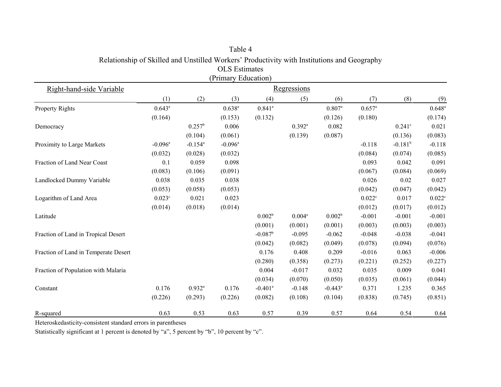|                                      |                       |                       | (Primary Education)   |                       |                    |                       |                      |              |                      |
|--------------------------------------|-----------------------|-----------------------|-----------------------|-----------------------|--------------------|-----------------------|----------------------|--------------|----------------------|
| Right-hand-side Variable             |                       |                       |                       |                       | <b>Regressions</b> |                       |                      |              |                      |
|                                      | (1)                   | (2)                   | (3)                   | (4)                   | (5)                | (6)                   | (7)                  | (8)          | (9)                  |
| <b>Property Rights</b>               | $0.643^a$             |                       | $0.638^{a}$           | $0.841$ <sup>a</sup>  |                    | $0.807$ <sup>a</sup>  | $0.657$ <sup>a</sup> |              | $0.648^{a}$          |
|                                      | (0.164)               |                       | (0.153)               | (0.132)               |                    | (0.126)               | (0.180)              |              | (0.174)              |
| Democracy                            |                       | $0.257^b$             | 0.006                 |                       | $0.392^a$          | 0.082                 |                      | $0.241$ c    | 0.021                |
|                                      |                       | (0.104)               | (0.061)               |                       | (0.139)            | (0.087)               |                      | (0.136)      | (0.083)              |
| Proximity to Large Markets           | $-0.096$ <sup>a</sup> | $-0.154$ <sup>a</sup> | $-0.096$ <sup>a</sup> |                       |                    |                       | $-0.118$             | $-0.181^{b}$ | $-0.118$             |
|                                      | (0.032)               | (0.028)               | (0.032)               |                       |                    |                       | (0.084)              | (0.074)      | (0.085)              |
| Fraction of Land Near Coast          | 0.1                   | 0.059                 | 0.098                 |                       |                    |                       | 0.093                | 0.042        | 0.091                |
|                                      | (0.083)               | (0.106)               | (0.091)               |                       |                    |                       | (0.067)              | (0.084)      | (0.069)              |
| Landlocked Dummy Variable            | 0.038                 | 0.035                 | 0.038                 |                       |                    |                       | 0.026                | $0.02\,$     | 0.027                |
|                                      | (0.053)               | (0.058)               | (0.053)               |                       |                    |                       | (0.042)              | (0.047)      | (0.042)              |
| Logarithm of Land Area               | $0.023^{\circ}$       | 0.021                 | 0.023                 |                       |                    |                       | $0.022$ <sup>c</sup> | 0.017        | $0.022$ <sup>c</sup> |
|                                      | (0.014)               | (0.018)               | (0.014)               |                       |                    |                       | (0.012)              | (0.017)      | (0.012)              |
| Latitude                             |                       |                       |                       | 0.002 <sup>b</sup>    | $0.004^{a}$        | 0.002 <sup>b</sup>    | $-0.001$             | $-0.001$     | $-0.001$             |
|                                      |                       |                       |                       | (0.001)               | (0.001)            | (0.001)               | (0.003)              | (0.003)      | (0.003)              |
| Fraction of Land in Tropical Desert  |                       |                       |                       | $-0.087^b$            | $-0.095$           | $-0.062$              | $-0.048$             | $-0.038$     | $-0.041$             |
|                                      |                       |                       |                       | (0.042)               | (0.082)            | (0.049)               | (0.078)              | (0.094)      | (0.076)              |
| Fraction of Land in Temperate Desert |                       |                       |                       | 0.176                 | 0.408              | 0.209                 | $-0.016$             | 0.063        | $-0.006$             |
|                                      |                       |                       |                       | (0.280)               | (0.358)            | (0.273)               | (0.221)              | (0.252)      | (0.227)              |
| Fraction of Population with Malaria  |                       |                       |                       | 0.004                 | $-0.017$           | 0.032                 | 0.035                | 0.009        | 0.041                |
|                                      |                       |                       |                       | (0.034)               | (0.070)            | (0.050)               | (0.035)              | (0.061)      | (0.044)              |
| Constant                             | 0.176                 | $0.932^{a}$           | 0.176                 | $-0.401$ <sup>a</sup> | $-0.148$           | $-0.443$ <sup>a</sup> | 0.371                | 1.235        | 0.365                |
|                                      | (0.226)               | (0.293)               | (0.226)               | (0.082)               | (0.108)            | (0.104)               | (0.838)              | (0.745)      | (0.851)              |
| R-squared                            | 0.63                  | 0.53                  | 0.63                  | 0.57                  | 0.39               | 0.57                  | 0.64                 | 0.54         | 0.64                 |

Table 4 Relationship of Skilled and Unstilled Workers' Productivity with Institutions and Geography OLS Estimates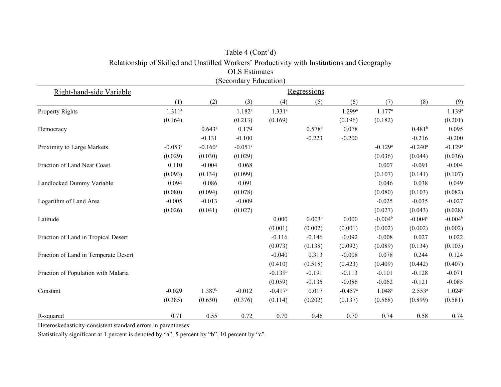|                                      |             |                       | <b>OLS</b> Estimates  |                       |                    |                       |                       |                       |                       |  |
|--------------------------------------|-------------|-----------------------|-----------------------|-----------------------|--------------------|-----------------------|-----------------------|-----------------------|-----------------------|--|
|                                      |             |                       | (Secondary Education) |                       |                    |                       |                       |                       |                       |  |
| Right-hand-side Variable             | Regressions |                       |                       |                       |                    |                       |                       |                       |                       |  |
|                                      | (1)         | (2)                   | (3)                   | (4)                   | (5)                | (6)                   | (7)                   | (8)                   | (9)                   |  |
| <b>Property Rights</b>               | $1.311^{a}$ |                       | $1.182^{a}$           | $1.331^{a}$           |                    | $1.299$ <sup>a</sup>  | $1.177^a$             |                       | $1.139^{a}$           |  |
|                                      | (0.164)     |                       | (0.213)               | (0.169)               |                    | (0.196)               | (0.182)               |                       | (0.201)               |  |
| Democracy                            |             | $0.643^a$             | 0.179                 |                       | $0.578^b$          | 0.078                 |                       | 0.481 <sup>b</sup>    | 0.095                 |  |
|                                      |             | $-0.131$              | $-0.100$              |                       | $-0.223$           | $-0.200$              |                       | $-0.216$              | $-0.200$              |  |
| Proximity to Large Markets           | $-0.053c$   | $-0.160$ <sup>a</sup> | $-0.051$ c            |                       |                    |                       | $-0.129$ <sup>a</sup> | $-0.240$ <sup>a</sup> | $-0.129$ <sup>a</sup> |  |
|                                      | (0.029)     | (0.030)               | (0.029)               |                       |                    |                       | (0.036)               | (0.044)               | (0.036)               |  |
| Fraction of Land Near Coast          | 0.110       | $-0.004$              | 0.068                 |                       |                    |                       | 0.007                 | $-0.091$              | $-0.004$              |  |
|                                      | (0.093)     | (0.134)               | (0.099)               |                       |                    |                       | (0.107)               | (0.141)               | (0.107)               |  |
| Landlocked Dummy Variable            | 0.094       | 0.086                 | 0.091                 |                       |                    |                       | 0.046                 | 0.038                 | 0.049                 |  |
|                                      | (0.080)     | (0.094)               | (0.078)               |                       |                    |                       | (0.080)               | (0.103)               | (0.082)               |  |
| Logarithm of Land Area               | $-0.005$    | $-0.013$              | $-0.009$              |                       |                    |                       | $-0.025$              | $-0.035$              | $-0.027$              |  |
|                                      | (0.026)     | (0.041)               | (0.027)               |                       |                    |                       | (0.027)               | (0.043)               | (0.028)               |  |
| Latitude                             |             |                       |                       | 0.000                 | 0.003 <sup>b</sup> | 0.000                 | $-0.004^b$            | $-0.004c$             | $-0.004b$             |  |
|                                      |             |                       |                       | (0.001)               | (0.002)            | (0.001)               | (0.002)               | (0.002)               | (0.002)               |  |
| Fraction of Land in Tropical Desert  |             |                       |                       | $-0.116$              | $-0.146$           | $-0.092$              | $-0.008$              | 0.027                 | 0.022                 |  |
|                                      |             |                       |                       | (0.073)               | (0.138)            | (0.092)               | (0.089)               | (0.134)               | (0.103)               |  |
| Fraction of Land in Temperate Desert |             |                       |                       | $-0.040$              | 0.313              | $-0.008$              | 0.078                 | 0.244                 | 0.124                 |  |
|                                      |             |                       |                       | (0.410)               | (0.518)            | (0.423)               | (0.409)               | (0.442)               | (0.407)               |  |
| Fraction of Population with Malaria  |             |                       |                       | $-0.139b$             | $-0.191$           | $-0.113$              | $-0.101$              | $-0.128$              | $-0.071$              |  |
|                                      |             |                       |                       | (0.059)               | $-0.135$           | $-0.086$              | $-0.062$              | $-0.121$              | $-0.085$              |  |
| Constant                             | $-0.029$    | 1.387 <sup>b</sup>    | $-0.012$              | $-0.417$ <sup>a</sup> | 0.017              | $-0.457$ <sup>a</sup> | 1.048c                | $2.553^{a}$           | 1.024c                |  |
|                                      | (0.385)     | (0.630)               | (0.376)               | (0.114)               | (0.202)            | (0.137)               | (0.568)               | (0.899)               | (0.581)               |  |
| R-squared                            | 0.71        | 0.55                  | 0.72                  | 0.70                  | 0.46               | 0.70                  | 0.74                  | 0.58                  | 0.74                  |  |

# Table 4 (Cont'd) Relationship of Skilled and Unstilled Workers' Productivity with Institutions and Geography

Heteroskedasticity-consistent standard errors in parentheses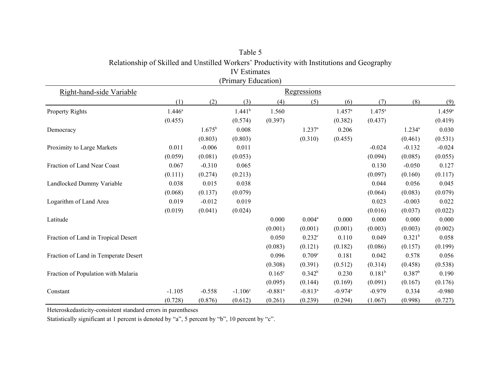|                                      |           |           | (Primary Education) |                       |                      |                       |             |                    |             |
|--------------------------------------|-----------|-----------|---------------------|-----------------------|----------------------|-----------------------|-------------|--------------------|-------------|
| Right-hand-side Variable             |           |           |                     |                       | <b>Regressions</b>   |                       |             |                    |             |
|                                      | (1)       | (2)       | (3)                 | (4)                   | (5)                  | (6)                   | (7)         | (8)                | (9)         |
| Property Rights                      | $1.446^a$ |           | 1.441 <sup>b</sup>  | 1.560                 |                      | $1.457^{\rm a}$       | $1.475^a$   |                    | $1.459^{a}$ |
|                                      | (0.455)   |           | (0.574)             | (0.397)               |                      | (0.382)               | (0.437)     |                    | (0.419)     |
| Democracy                            |           | $1.675^b$ | 0.008               |                       | $1.237^a$            | 0.206                 |             | $1.234^{a}$        | 0.030       |
|                                      |           | (0.803)   | (0.803)             |                       | (0.310)              | (0.455)               |             | (0.461)            | (0.531)     |
| Proximity to Large Markets           | 0.011     | $-0.006$  | 0.011               |                       |                      |                       | $-0.024$    | $-0.132$           | $-0.024$    |
|                                      | (0.059)   | (0.081)   | (0.053)             |                       |                      |                       | (0.094)     | (0.085)            | (0.055)     |
| Fraction of Land Near Coast          | 0.067     | $-0.310$  | 0.065               |                       |                      |                       | 0.130       | $-0.050$           | 0.127       |
|                                      | (0.111)   | (0.274)   | (0.213)             |                       |                      |                       | (0.097)     | (0.160)            | (0.117)     |
| Landlocked Dummy Variable            | 0.038     | 0.015     | 0.038               |                       |                      |                       | 0.044       | 0.056              | 0.045       |
|                                      | (0.068)   | (0.137)   | (0.079)             |                       |                      |                       | (0.064)     | (0.083)            | (0.079)     |
| Logarithm of Land Area               | 0.019     | $-0.012$  | 0.019               |                       |                      |                       | 0.023       | $-0.003$           | 0.022       |
|                                      | (0.019)   | (0.041)   | (0.024)             |                       |                      |                       | (0.016)     | (0.037)            | (0.022)     |
| Latitude                             |           |           |                     | 0.000                 | $0.004^a$            | 0.000                 | 0.000       | 0.000              | 0.000       |
|                                      |           |           |                     | (0.001)               | (0.001)              | (0.001)               | (0.003)     | (0.003)            | (0.002)     |
| Fraction of Land in Tropical Desert  |           |           |                     | 0.050                 | $0.232$ <sup>c</sup> | 0.110                 | 0.049       | 0.321 <sup>b</sup> | 0.058       |
|                                      |           |           |                     | (0.083)               | (0.121)              | (0.182)               | (0.086)     | (0.157)            | (0.199)     |
| Fraction of Land in Temperate Desert |           |           |                     | 0.096                 | 0.709c               | 0.181                 | 0.042       | 0.578              | 0.056       |
|                                      |           |           |                     | (0.308)               | (0.391)              | (0.512)               | (0.314)     | (0.458)            | (0.538)     |
| Fraction of Population with Malaria  |           |           |                     | $0.165^{\circ}$       | $0.342^b$            | 0.230                 | $0.181^{b}$ | $0.387^b$          | 0.190       |
|                                      |           |           |                     | (0.095)               | (0.144)              | (0.169)               | (0.091)     | (0.167)            | (0.176)     |
| Constant                             | $-1.105$  | $-0.558$  | $-1.106^c$          | $-0.881$ <sup>a</sup> | $-0.813^a$           | $-0.974$ <sup>a</sup> | $-0.979$    | 0.334              | $-0.980$    |
|                                      | (0.728)   | (0.876)   | (0.612)             | (0.261)               | (0.239)              | (0.294)               | (1.067)     | (0.998)            | (0.727)     |

Table 5 Relationship of Skilled and Unstilled Workers' Productivity with Institutions and Geography IV Estimates (Primary Education)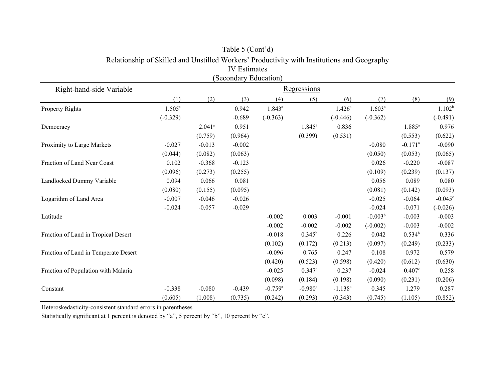|                                      |                    |                      | <b>IV</b> Estimates   |                       |                       |              |             |                       |                    |  |
|--------------------------------------|--------------------|----------------------|-----------------------|-----------------------|-----------------------|--------------|-------------|-----------------------|--------------------|--|
|                                      |                    |                      | (Secondary Education) |                       |                       |              |             |                       |                    |  |
| Right-hand-side Variable             | <b>Regressions</b> |                      |                       |                       |                       |              |             |                       |                    |  |
|                                      | (1)                | (2)                  | (3)                   | (4)                   | (5)                   | (6)          | (7)         | (8)                   | (9)                |  |
| Property Rights                      | $1.505^a$          |                      | 0.942                 | $1.843^a$             |                       | $1.426^a$    | $1.603^{a}$ |                       | 1.102 <sup>b</sup> |  |
|                                      | $(-0.329)$         |                      | $-0.689$              | $(-0.363)$            |                       | $(-0.446)$   | $(-0.362)$  |                       | $(-0.491)$         |  |
| Democracy                            |                    | $2.041$ <sup>a</sup> | 0.951                 |                       | $1.845^a$             | 0.836        |             | $1.885^{a}$           | 0.976              |  |
|                                      |                    | (0.759)              | (0.964)               |                       | (0.399)               | (0.531)      |             | (0.553)               | (0.622)            |  |
| Proximity to Large Markets           | $-0.027$           | $-0.013$             | $-0.002$              |                       |                       |              | $-0.080$    | $-0.171$ <sup>a</sup> | $-0.090$           |  |
|                                      | (0.044)            | (0.082)              | (0.063)               |                       |                       |              | (0.050)     | (0.053)               | (0.065)            |  |
| Fraction of Land Near Coast          | 0.102              | $-0.368$             | $-0.123$              |                       |                       |              | 0.026       | $-0.220$              | $-0.087$           |  |
|                                      | (0.096)            | (0.273)              | (0.255)               |                       |                       |              | (0.109)     | (0.239)               | (0.137)            |  |
| Landlocked Dummy Variable            | 0.094              | 0.066                | 0.081                 |                       |                       |              | 0.056       | 0.089                 | 0.080              |  |
|                                      | (0.080)            | (0.155)              | (0.095)               |                       |                       |              | (0.081)     | (0.142)               | (0.093)            |  |
| Logarithm of Land Area               | $-0.007$           | $-0.046$             | $-0.026$              |                       |                       |              | $-0.025$    | $-0.064$              | $-0.045^{\circ}$   |  |
|                                      | $-0.024$           | $-0.057$             | $-0.029$              |                       |                       |              | $-0.024$    | $-0.071$              | $(-0.026)$         |  |
| Latitude                             |                    |                      |                       | $-0.002$              | 0.003                 | $-0.001$     | $-0.003b$   | $-0.003$              | $-0.003$           |  |
|                                      |                    |                      |                       | $-0.002$              | $-0.002$              | $-0.002$     | $(-0.002)$  | $-0.003$              | $-0.002$           |  |
| Fraction of Land in Tropical Desert  |                    |                      |                       | $-0.018$              | $0.345^b$             | 0.226        | 0.042       | $0.534^{b}$           | 0.336              |  |
|                                      |                    |                      |                       | (0.102)               | (0.172)               | (0.213)      | (0.097)     | (0.249)               | (0.233)            |  |
| Fraction of Land in Temperate Desert |                    |                      |                       | $-0.096$              | 0.765                 | 0.247        | 0.108       | 0.972                 | 0.579              |  |
|                                      |                    |                      |                       | (0.420)               | (0.523)               | (0.598)      | (0.420)     | (0.612)               | (0.630)            |  |
| Fraction of Population with Malaria  |                    |                      |                       | $-0.025$              | 0.347c                | 0.237        | $-0.024$    | $0.407^{\circ}$       | 0.258              |  |
|                                      |                    |                      |                       | (0.098)               | (0.184)               | (0.198)      | (0.090)     | (0.231)               | (0.206)            |  |
| Constant                             | $-0.338$           | $-0.080$             | $-0.439$              | $-0.759$ <sup>a</sup> | $-0.980$ <sup>a</sup> | $-1.138^{a}$ | 0.345       | 1.279                 | 0.287              |  |
|                                      | (0.605)            | (1.008)              | (0.735)               | (0.242)               | (0.293)               | (0.343)      | (0.745)     | (1.105)               | (0.852)            |  |

# Table 5 (Cont'd) Relationship of Skilled and Unstilled Workers' Productivity with Institutions and Geography

Heteroskedasticity-consistent standard errors in parentheses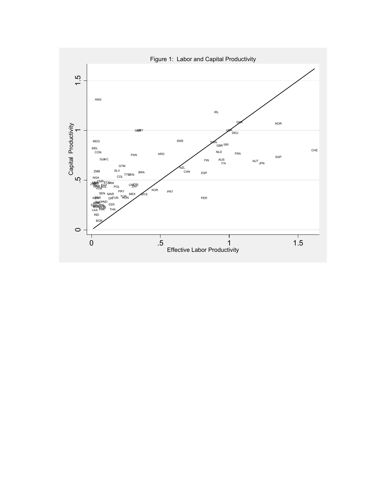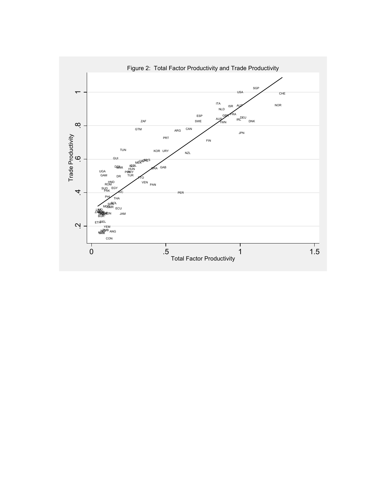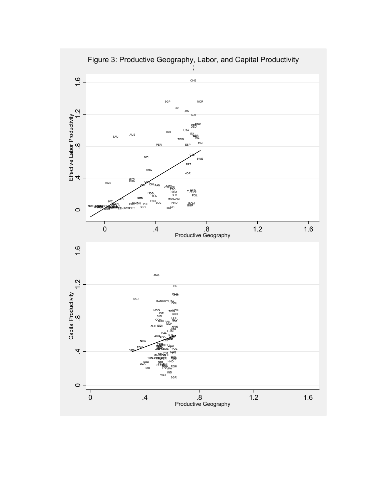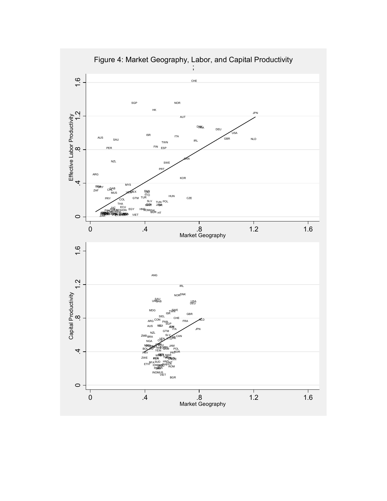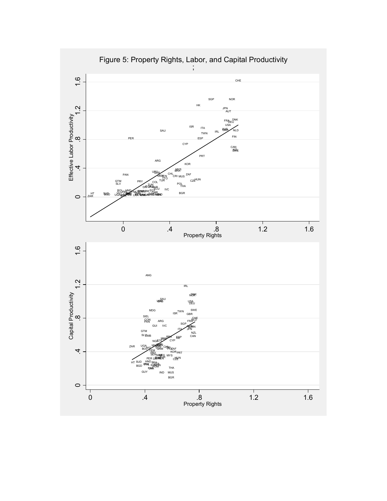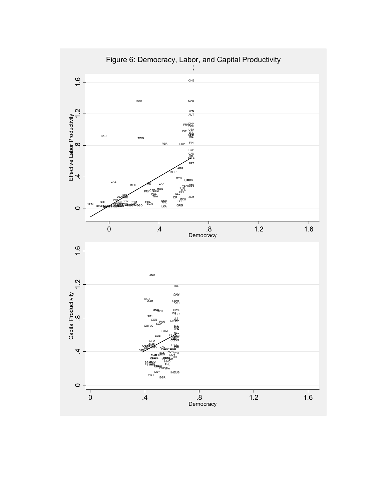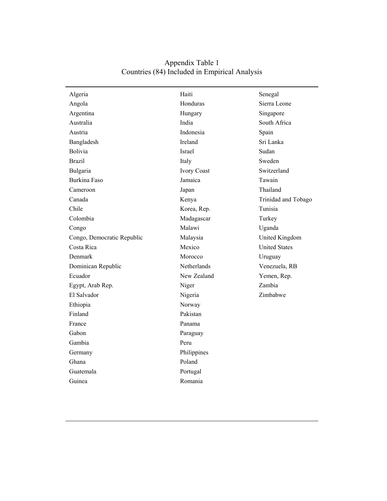| Algeria                    | Haiti              | Senegal              |
|----------------------------|--------------------|----------------------|
| Angola                     | Honduras           | Sierra Leone         |
| Argentina                  | Hungary            | Singapore            |
| Australia                  | India              | South Africa         |
| Austria                    | Indonesia          | Spain                |
| Bangladesh                 | Ireland            | Sri Lanka            |
| Bolivia                    | Israel             | Sudan                |
| <b>Brazil</b>              | Italy              | Sweden               |
| Bulgaria                   | <b>Ivory Coast</b> | Switzerland          |
| <b>Burkina Faso</b>        | Jamaica            | Tawain               |
| Cameroon                   | Japan              | Thailand             |
| Canada                     | Kenya              | Trinidad and Tobago  |
| Chile                      | Korea, Rep.        | Tunisia              |
| Colombia                   | Madagascar         | Turkey               |
| Congo                      | Malawi             | Uganda               |
| Congo, Democratic Republic | Malaysia           | United Kingdom       |
| Costa Rica                 | Mexico             | <b>United States</b> |
| Denmark                    | Morocco            | Uruguay              |
| Dominican Republic         | Netherlands        | Venezuela, RB        |
| Ecuador                    | New Zealand        | Yemen, Rep.          |
| Egypt, Arab Rep.           | Niger              | Zambia               |
| El Salvador                | Nigeria            | Zimbabwe             |
| Ethiopia                   | Norway             |                      |
| Finland                    | Pakistan           |                      |
| France                     | Panama             |                      |
| Gabon                      | Paraguay           |                      |
| Gambia                     | Peru               |                      |
| Germany                    | Philippines        |                      |
| Ghana                      | Poland             |                      |
| Guatemala                  | Portugal           |                      |
| Guinea                     | Romania            |                      |

# Appendix Table 1 Countries (84) Included in Empirical Analysis